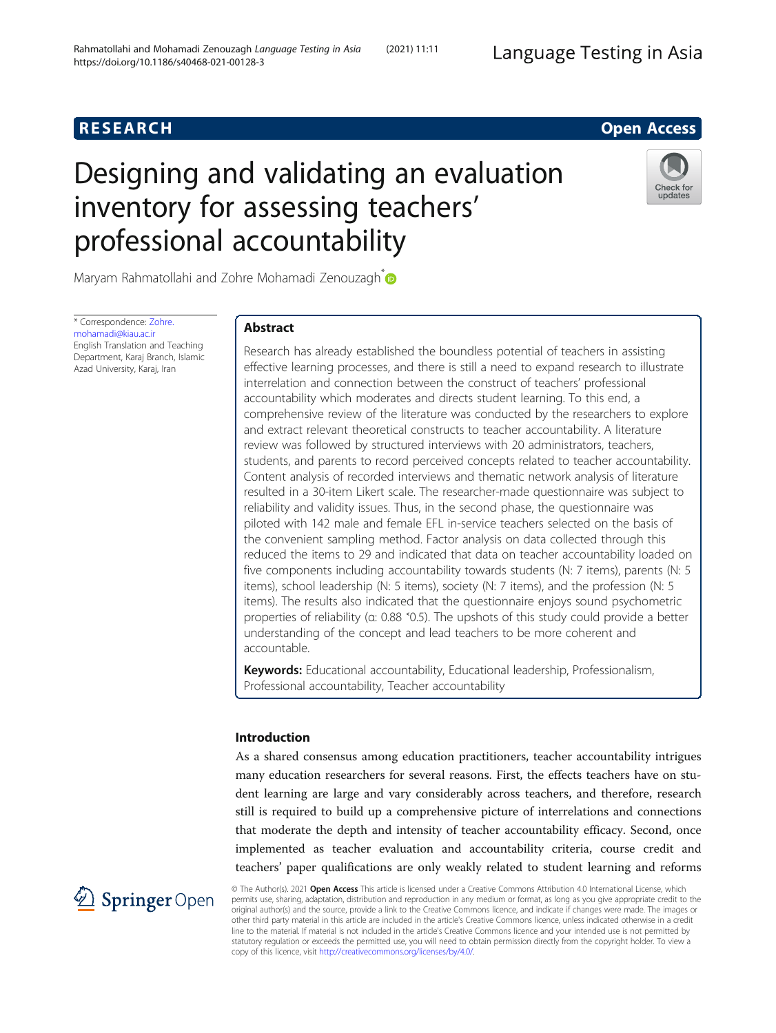# **RESEARCH RESEARCH CONSUMING ACCESS**

# Designing and validating an evaluation inventory for assessing teachers' professional accountability



Maryam Rahmatollahi and Zohre Mohamadi Zenouzagh<sup>\*</sup>

\* Correspondence: [Zohre.](mailto:Zohre.mohamadi@kiau.ac.ir) [mohamadi@kiau.ac.ir](mailto:Zohre.mohamadi@kiau.ac.ir) English Translation and Teaching Department, Karaj Branch, Islamic Azad University, Karaj, Iran

# Abstract

Research has already established the boundless potential of teachers in assisting effective learning processes, and there is still a need to expand research to illustrate interrelation and connection between the construct of teachers' professional accountability which moderates and directs student learning. To this end, a comprehensive review of the literature was conducted by the researchers to explore and extract relevant theoretical constructs to teacher accountability. A literature review was followed by structured interviews with 20 administrators, teachers, students, and parents to record perceived concepts related to teacher accountability. Content analysis of recorded interviews and thematic network analysis of literature resulted in a 30-item Likert scale. The researcher-made questionnaire was subject to reliability and validity issues. Thus, in the second phase, the questionnaire was piloted with 142 male and female EFL in-service teachers selected on the basis of the convenient sampling method. Factor analysis on data collected through this reduced the items to 29 and indicated that data on teacher accountability loaded on five components including accountability towards students (N: 7 items), parents (N: 5 items), school leadership (N: 5 items), society (N: 7 items), and the profession (N: 5 items). The results also indicated that the questionnaire enjoys sound psychometric properties of reliability (α: 0.88 ˂0.5). The upshots of this study could provide a better understanding of the concept and lead teachers to be more coherent and accountable.

Keywords: Educational accountability, Educational leadership, Professionalism, Professional accountability, Teacher accountability

# Introduction

As a shared consensus among education practitioners, teacher accountability intrigues many education researchers for several reasons. First, the effects teachers have on student learning are large and vary considerably across teachers, and therefore, research still is required to build up a comprehensive picture of interrelations and connections that moderate the depth and intensity of teacher accountability efficacy. Second, once implemented as teacher evaluation and accountability criteria, course credit and teachers' paper qualifications are only weakly related to student learning and reforms



© The Author(s). 2021 Open Access This article is licensed under a Creative Commons Attribution 4.0 International License, which permits use, sharing, adaptation, distribution and reproduction in any medium or format, as long as you give appropriate credit to the original author(s) and the source, provide a link to the Creative Commons licence, and indicate if changes were made. The images or other third party material in this article are included in the article's Creative Commons licence, unless indicated otherwise in a credit line to the material. If material is not included in the article's Creative Commons licence and your intended use is not permitted by statutory regulation or exceeds the permitted use, you will need to obtain permission directly from the copyright holder. To view a copy of this licence, visit <http://creativecommons.org/licenses/by/4.0/>.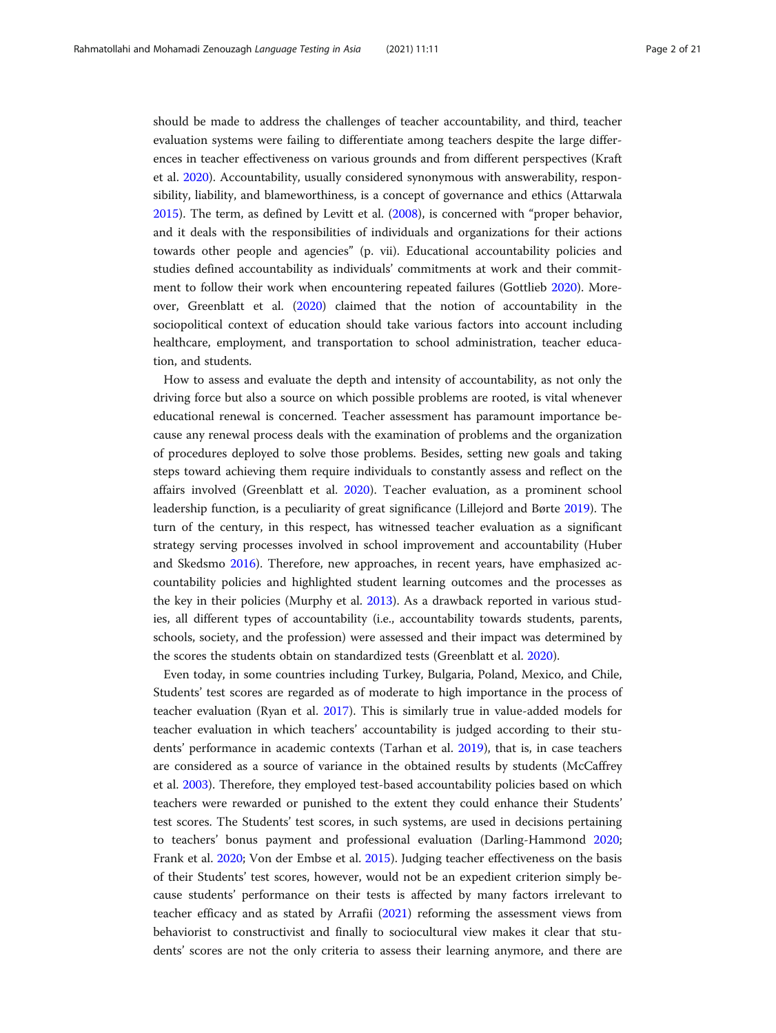should be made to address the challenges of teacher accountability, and third, teacher evaluation systems were failing to differentiate among teachers despite the large differences in teacher effectiveness on various grounds and from different perspectives (Kraft et al. [2020](#page-20-0)). Accountability, usually considered synonymous with answerability, responsibility, liability, and blameworthiness, is a concept of governance and ethics (Attarwala [2015](#page-19-0)). The term, as defined by Levitt et al. [\(2008\)](#page-20-0), is concerned with "proper behavior, and it deals with the responsibilities of individuals and organizations for their actions towards other people and agencies" (p. vii). Educational accountability policies and studies defined accountability as individuals' commitments at work and their commitment to follow their work when encountering repeated failures (Gottlieb [2020\)](#page-20-0). Moreover, Greenblatt et al. ([2020](#page-20-0)) claimed that the notion of accountability in the sociopolitical context of education should take various factors into account including healthcare, employment, and transportation to school administration, teacher education, and students.

How to assess and evaluate the depth and intensity of accountability, as not only the driving force but also a source on which possible problems are rooted, is vital whenever educational renewal is concerned. Teacher assessment has paramount importance because any renewal process deals with the examination of problems and the organization of procedures deployed to solve those problems. Besides, setting new goals and taking steps toward achieving them require individuals to constantly assess and reflect on the affairs involved (Greenblatt et al. [2020\)](#page-20-0). Teacher evaluation, as a prominent school leadership function, is a peculiarity of great significance (Lillejord and Børte [2019\)](#page-20-0). The turn of the century, in this respect, has witnessed teacher evaluation as a significant strategy serving processes involved in school improvement and accountability (Huber and Skedsmo [2016](#page-20-0)). Therefore, new approaches, in recent years, have emphasized accountability policies and highlighted student learning outcomes and the processes as the key in their policies (Murphy et al. [2013](#page-20-0)). As a drawback reported in various studies, all different types of accountability (i.e., accountability towards students, parents, schools, society, and the profession) were assessed and their impact was determined by the scores the students obtain on standardized tests (Greenblatt et al. [2020\)](#page-20-0).

Even today, in some countries including Turkey, Bulgaria, Poland, Mexico, and Chile, Students' test scores are regarded as of moderate to high importance in the process of teacher evaluation (Ryan et al. [2017\)](#page-20-0). This is similarly true in value-added models for teacher evaluation in which teachers' accountability is judged according to their students' performance in academic contexts (Tarhan et al. [2019](#page-20-0)), that is, in case teachers are considered as a source of variance in the obtained results by students (McCaffrey et al. [2003\)](#page-20-0). Therefore, they employed test-based accountability policies based on which teachers were rewarded or punished to the extent they could enhance their Students' test scores. The Students' test scores, in such systems, are used in decisions pertaining to teachers' bonus payment and professional evaluation (Darling-Hammond [2020](#page-19-0); Frank et al. [2020](#page-19-0); Von der Embse et al. [2015\)](#page-20-0). Judging teacher effectiveness on the basis of their Students' test scores, however, would not be an expedient criterion simply because students' performance on their tests is affected by many factors irrelevant to teacher efficacy and as stated by Arrafii [\(2021](#page-19-0)) reforming the assessment views from behaviorist to constructivist and finally to sociocultural view makes it clear that students' scores are not the only criteria to assess their learning anymore, and there are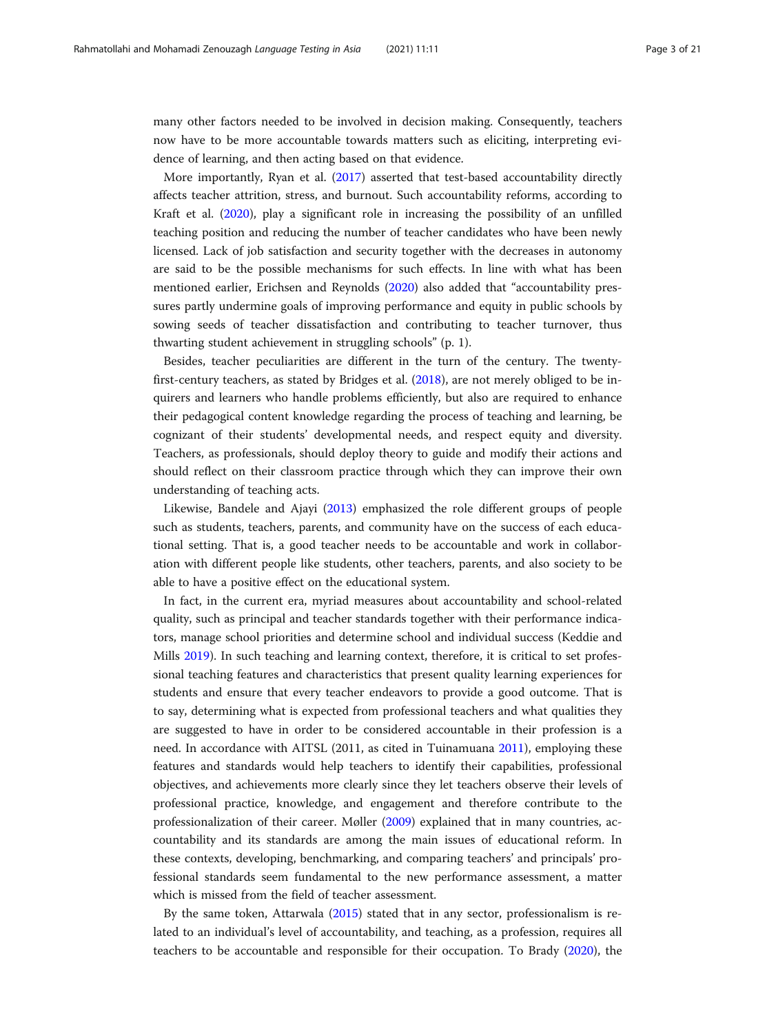many other factors needed to be involved in decision making. Consequently, teachers now have to be more accountable towards matters such as eliciting, interpreting evidence of learning, and then acting based on that evidence.

More importantly, Ryan et al. ([2017](#page-20-0)) asserted that test-based accountability directly affects teacher attrition, stress, and burnout. Such accountability reforms, according to Kraft et al. ([2020\)](#page-20-0), play a significant role in increasing the possibility of an unfilled teaching position and reducing the number of teacher candidates who have been newly licensed. Lack of job satisfaction and security together with the decreases in autonomy are said to be the possible mechanisms for such effects. In line with what has been mentioned earlier, Erichsen and Reynolds [\(2020](#page-19-0)) also added that "accountability pressures partly undermine goals of improving performance and equity in public schools by sowing seeds of teacher dissatisfaction and contributing to teacher turnover, thus thwarting student achievement in struggling schools" (p. 1).

Besides, teacher peculiarities are different in the turn of the century. The twentyfirst-century teachers, as stated by Bridges et al. [\(2018\)](#page-19-0), are not merely obliged to be inquirers and learners who handle problems efficiently, but also are required to enhance their pedagogical content knowledge regarding the process of teaching and learning, be cognizant of their students' developmental needs, and respect equity and diversity. Teachers, as professionals, should deploy theory to guide and modify their actions and should reflect on their classroom practice through which they can improve their own understanding of teaching acts.

Likewise, Bandele and Ajayi [\(2013\)](#page-19-0) emphasized the role different groups of people such as students, teachers, parents, and community have on the success of each educational setting. That is, a good teacher needs to be accountable and work in collaboration with different people like students, other teachers, parents, and also society to be able to have a positive effect on the educational system.

In fact, in the current era, myriad measures about accountability and school-related quality, such as principal and teacher standards together with their performance indicators, manage school priorities and determine school and individual success (Keddie and Mills [2019](#page-20-0)). In such teaching and learning context, therefore, it is critical to set professional teaching features and characteristics that present quality learning experiences for students and ensure that every teacher endeavors to provide a good outcome. That is to say, determining what is expected from professional teachers and what qualities they are suggested to have in order to be considered accountable in their profession is a need. In accordance with AITSL (2011, as cited in Tuinamuana [2011](#page-20-0)), employing these features and standards would help teachers to identify their capabilities, professional objectives, and achievements more clearly since they let teachers observe their levels of professional practice, knowledge, and engagement and therefore contribute to the professionalization of their career. Møller [\(2009\)](#page-20-0) explained that in many countries, accountability and its standards are among the main issues of educational reform. In these contexts, developing, benchmarking, and comparing teachers' and principals' professional standards seem fundamental to the new performance assessment, a matter which is missed from the field of teacher assessment.

By the same token, Attarwala [\(2015](#page-19-0)) stated that in any sector, professionalism is related to an individual's level of accountability, and teaching, as a profession, requires all teachers to be accountable and responsible for their occupation. To Brady [\(2020\)](#page-19-0), the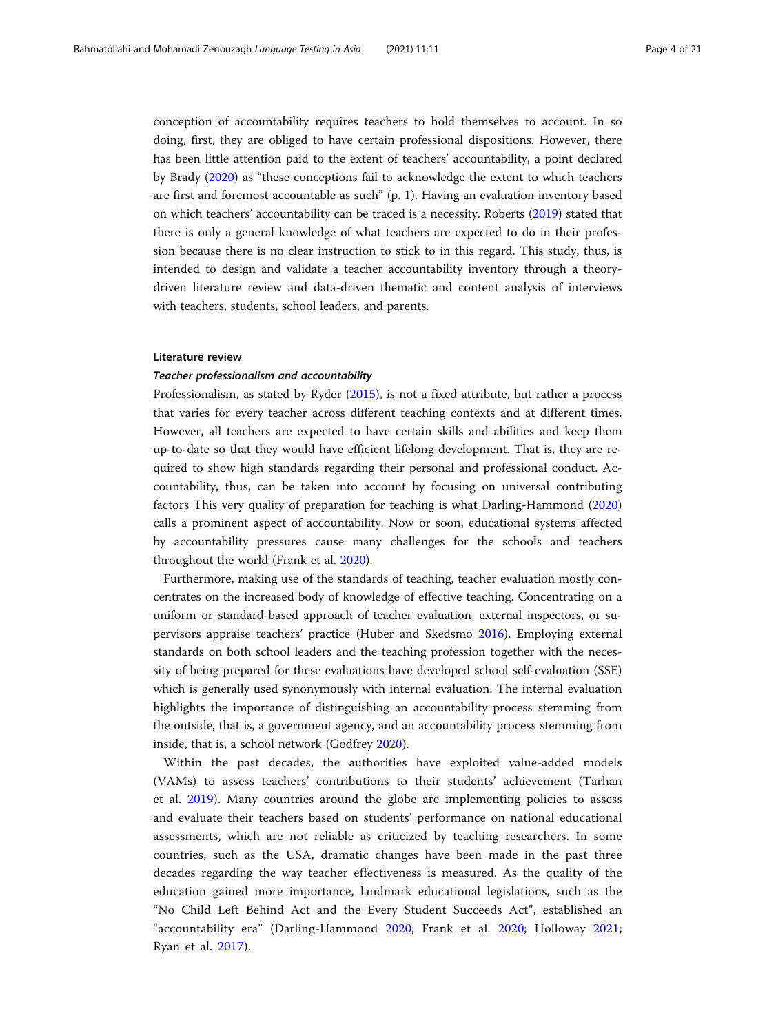conception of accountability requires teachers to hold themselves to account. In so doing, first, they are obliged to have certain professional dispositions. However, there has been little attention paid to the extent of teachers' accountability, a point declared by Brady [\(2020\)](#page-19-0) as "these conceptions fail to acknowledge the extent to which teachers are first and foremost accountable as such" (p. 1). Having an evaluation inventory based on which teachers' accountability can be traced is a necessity. Roberts ([2019\)](#page-20-0) stated that there is only a general knowledge of what teachers are expected to do in their profession because there is no clear instruction to stick to in this regard. This study, thus, is intended to design and validate a teacher accountability inventory through a theorydriven literature review and data-driven thematic and content analysis of interviews with teachers, students, school leaders, and parents.

# Literature review

# Teacher professionalism and accountability

Professionalism, as stated by Ryder ([2015](#page-20-0)), is not a fixed attribute, but rather a process that varies for every teacher across different teaching contexts and at different times. However, all teachers are expected to have certain skills and abilities and keep them up-to-date so that they would have efficient lifelong development. That is, they are required to show high standards regarding their personal and professional conduct. Accountability, thus, can be taken into account by focusing on universal contributing factors This very quality of preparation for teaching is what Darling-Hammond ([2020](#page-19-0)) calls a prominent aspect of accountability. Now or soon, educational systems affected by accountability pressures cause many challenges for the schools and teachers throughout the world (Frank et al. [2020\)](#page-19-0).

Furthermore, making use of the standards of teaching, teacher evaluation mostly concentrates on the increased body of knowledge of effective teaching. Concentrating on a uniform or standard-based approach of teacher evaluation, external inspectors, or supervisors appraise teachers' practice (Huber and Skedsmo [2016](#page-20-0)). Employing external standards on both school leaders and the teaching profession together with the necessity of being prepared for these evaluations have developed school self-evaluation (SSE) which is generally used synonymously with internal evaluation. The internal evaluation highlights the importance of distinguishing an accountability process stemming from the outside, that is, a government agency, and an accountability process stemming from inside, that is, a school network (Godfrey [2020\)](#page-20-0).

Within the past decades, the authorities have exploited value-added models (VAMs) to assess teachers' contributions to their students' achievement (Tarhan et al. [2019\)](#page-20-0). Many countries around the globe are implementing policies to assess and evaluate their teachers based on students' performance on national educational assessments, which are not reliable as criticized by teaching researchers. In some countries, such as the USA, dramatic changes have been made in the past three decades regarding the way teacher effectiveness is measured. As the quality of the education gained more importance, landmark educational legislations, such as the "No Child Left Behind Act and the Every Student Succeeds Act", established an "accountability era" (Darling-Hammond [2020](#page-19-0); Frank et al. [2020](#page-19-0); Holloway [2021](#page-20-0); Ryan et al. [2017](#page-20-0)).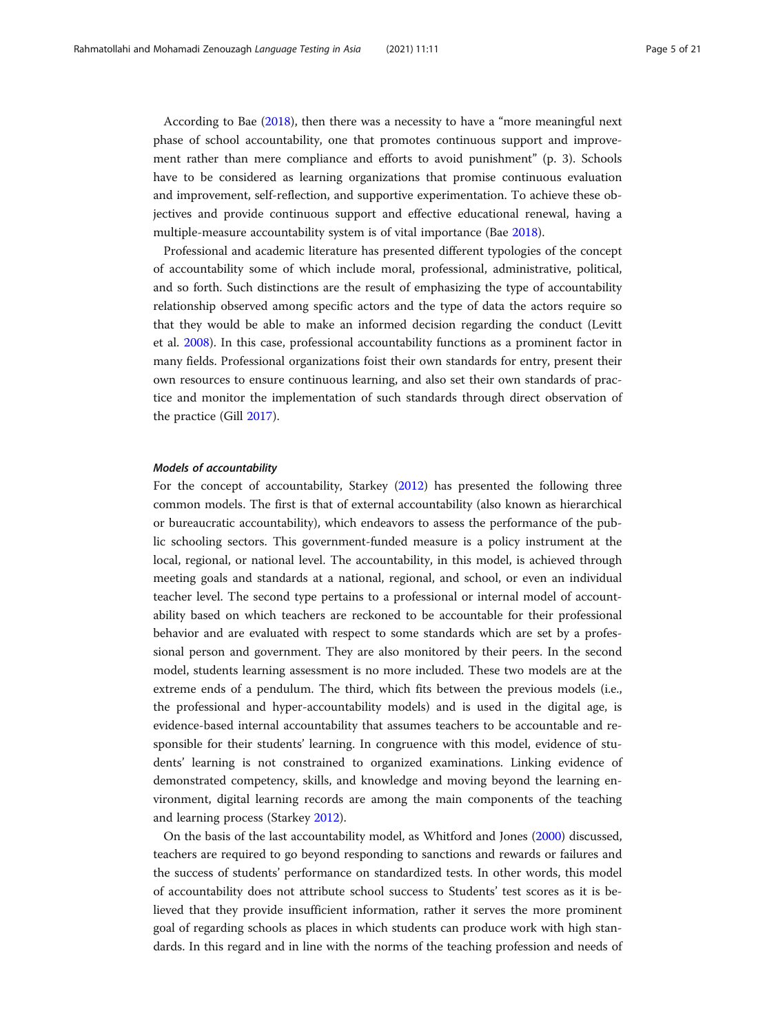According to Bae ([2018](#page-19-0)), then there was a necessity to have a "more meaningful next phase of school accountability, one that promotes continuous support and improvement rather than mere compliance and efforts to avoid punishment" (p. 3). Schools have to be considered as learning organizations that promise continuous evaluation and improvement, self-reflection, and supportive experimentation. To achieve these objectives and provide continuous support and effective educational renewal, having a multiple-measure accountability system is of vital importance (Bae [2018\)](#page-19-0).

Professional and academic literature has presented different typologies of the concept of accountability some of which include moral, professional, administrative, political, and so forth. Such distinctions are the result of emphasizing the type of accountability relationship observed among specific actors and the type of data the actors require so that they would be able to make an informed decision regarding the conduct (Levitt et al. [2008\)](#page-20-0). In this case, professional accountability functions as a prominent factor in many fields. Professional organizations foist their own standards for entry, present their own resources to ensure continuous learning, and also set their own standards of practice and monitor the implementation of such standards through direct observation of the practice (Gill [2017](#page-19-0)).

# Models of accountability

For the concept of accountability, Starkey ([2012](#page-20-0)) has presented the following three common models. The first is that of external accountability (also known as hierarchical or bureaucratic accountability), which endeavors to assess the performance of the public schooling sectors. This government-funded measure is a policy instrument at the local, regional, or national level. The accountability, in this model, is achieved through meeting goals and standards at a national, regional, and school, or even an individual teacher level. The second type pertains to a professional or internal model of accountability based on which teachers are reckoned to be accountable for their professional behavior and are evaluated with respect to some standards which are set by a professional person and government. They are also monitored by their peers. In the second model, students learning assessment is no more included. These two models are at the extreme ends of a pendulum. The third, which fits between the previous models (i.e., the professional and hyper-accountability models) and is used in the digital age, is evidence-based internal accountability that assumes teachers to be accountable and responsible for their students' learning. In congruence with this model, evidence of students' learning is not constrained to organized examinations. Linking evidence of demonstrated competency, skills, and knowledge and moving beyond the learning environment, digital learning records are among the main components of the teaching and learning process (Starkey [2012\)](#page-20-0).

On the basis of the last accountability model, as Whitford and Jones [\(2000\)](#page-20-0) discussed, teachers are required to go beyond responding to sanctions and rewards or failures and the success of students' performance on standardized tests. In other words, this model of accountability does not attribute school success to Students' test scores as it is believed that they provide insufficient information, rather it serves the more prominent goal of regarding schools as places in which students can produce work with high standards. In this regard and in line with the norms of the teaching profession and needs of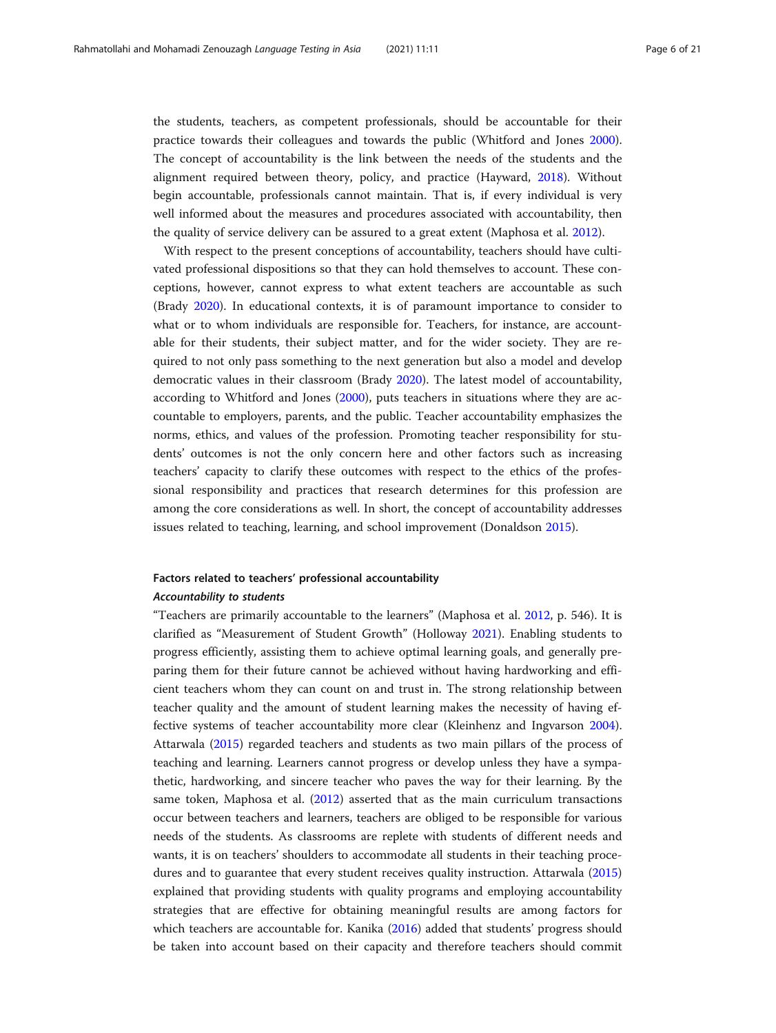the students, teachers, as competent professionals, should be accountable for their practice towards their colleagues and towards the public (Whitford and Jones [2000](#page-20-0)). The concept of accountability is the link between the needs of the students and the alignment required between theory, policy, and practice (Hayward, [2018](#page-20-0)). Without begin accountable, professionals cannot maintain. That is, if every individual is very well informed about the measures and procedures associated with accountability, then the quality of service delivery can be assured to a great extent (Maphosa et al. [2012](#page-20-0)).

With respect to the present conceptions of accountability, teachers should have cultivated professional dispositions so that they can hold themselves to account. These conceptions, however, cannot express to what extent teachers are accountable as such (Brady [2020](#page-19-0)). In educational contexts, it is of paramount importance to consider to what or to whom individuals are responsible for. Teachers, for instance, are accountable for their students, their subject matter, and for the wider society. They are required to not only pass something to the next generation but also a model and develop democratic values in their classroom (Brady [2020](#page-19-0)). The latest model of accountability, according to Whitford and Jones ([2000](#page-20-0)), puts teachers in situations where they are accountable to employers, parents, and the public. Teacher accountability emphasizes the norms, ethics, and values of the profession. Promoting teacher responsibility for students' outcomes is not the only concern here and other factors such as increasing teachers' capacity to clarify these outcomes with respect to the ethics of the professional responsibility and practices that research determines for this profession are among the core considerations as well. In short, the concept of accountability addresses issues related to teaching, learning, and school improvement (Donaldson [2015\)](#page-19-0).

# Factors related to teachers' professional accountability Accountability to students

"Teachers are primarily accountable to the learners" (Maphosa et al. [2012](#page-20-0), p. 546). It is clarified as "Measurement of Student Growth" (Holloway [2021](#page-20-0)). Enabling students to progress efficiently, assisting them to achieve optimal learning goals, and generally preparing them for their future cannot be achieved without having hardworking and efficient teachers whom they can count on and trust in. The strong relationship between teacher quality and the amount of student learning makes the necessity of having effective systems of teacher accountability more clear (Kleinhenz and Ingvarson [2004](#page-20-0)). Attarwala [\(2015\)](#page-19-0) regarded teachers and students as two main pillars of the process of teaching and learning. Learners cannot progress or develop unless they have a sympathetic, hardworking, and sincere teacher who paves the way for their learning. By the same token, Maphosa et al. [\(2012\)](#page-20-0) asserted that as the main curriculum transactions occur between teachers and learners, teachers are obliged to be responsible for various needs of the students. As classrooms are replete with students of different needs and wants, it is on teachers' shoulders to accommodate all students in their teaching procedures and to guarantee that every student receives quality instruction. Attarwala ([2015](#page-19-0)) explained that providing students with quality programs and employing accountability strategies that are effective for obtaining meaningful results are among factors for which teachers are accountable for. Kanika ([2016](#page-20-0)) added that students' progress should be taken into account based on their capacity and therefore teachers should commit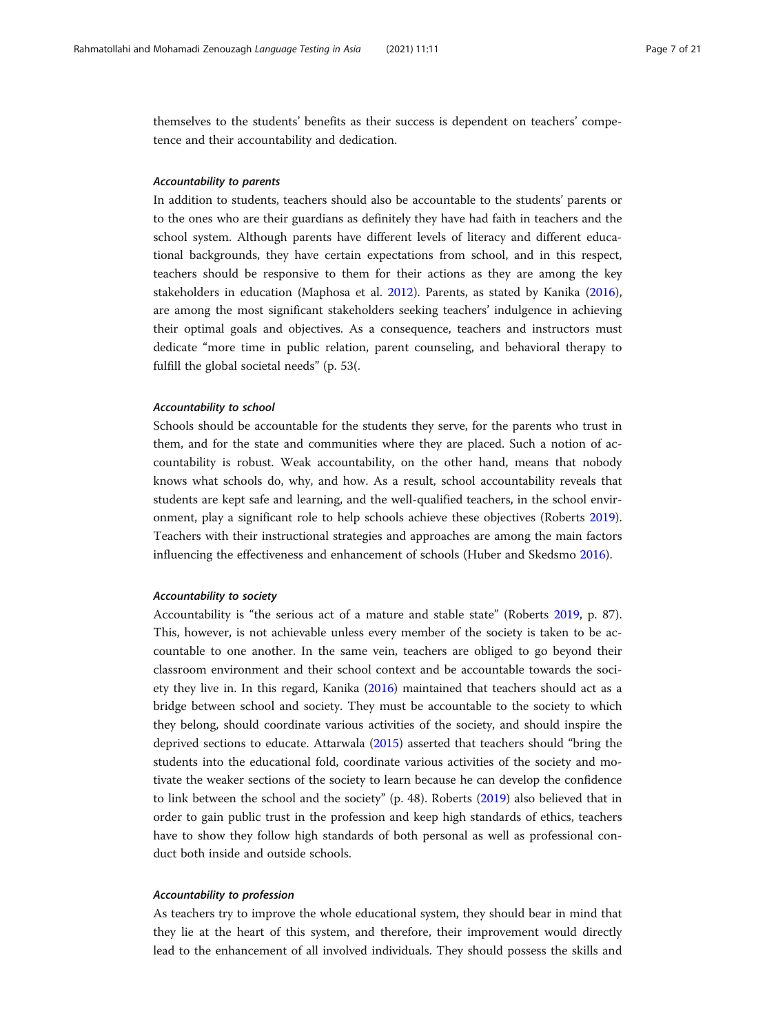themselves to the students' benefits as their success is dependent on teachers' competence and their accountability and dedication.

# Accountability to parents

In addition to students, teachers should also be accountable to the students' parents or to the ones who are their guardians as definitely they have had faith in teachers and the school system. Although parents have different levels of literacy and different educational backgrounds, they have certain expectations from school, and in this respect, teachers should be responsive to them for their actions as they are among the key stakeholders in education (Maphosa et al. [2012](#page-20-0)). Parents, as stated by Kanika ([2016](#page-20-0)), are among the most significant stakeholders seeking teachers' indulgence in achieving their optimal goals and objectives. As a consequence, teachers and instructors must dedicate "more time in public relation, parent counseling, and behavioral therapy to fulfill the global societal needs" (p. 53(.

# Accountability to school

Schools should be accountable for the students they serve, for the parents who trust in them, and for the state and communities where they are placed. Such a notion of accountability is robust. Weak accountability, on the other hand, means that nobody knows what schools do, why, and how. As a result, school accountability reveals that students are kept safe and learning, and the well-qualified teachers, in the school environment, play a significant role to help schools achieve these objectives (Roberts [2019](#page-20-0)). Teachers with their instructional strategies and approaches are among the main factors influencing the effectiveness and enhancement of schools (Huber and Skedsmo [2016\)](#page-20-0).

# Accountability to society

Accountability is "the serious act of a mature and stable state" (Roberts [2019,](#page-20-0) p. 87). This, however, is not achievable unless every member of the society is taken to be accountable to one another. In the same vein, teachers are obliged to go beyond their classroom environment and their school context and be accountable towards the society they live in. In this regard, Kanika ([2016](#page-20-0)) maintained that teachers should act as a bridge between school and society. They must be accountable to the society to which they belong, should coordinate various activities of the society, and should inspire the deprived sections to educate. Attarwala ([2015](#page-19-0)) asserted that teachers should "bring the students into the educational fold, coordinate various activities of the society and motivate the weaker sections of the society to learn because he can develop the confidence to link between the school and the society" (p. 48). Roberts ([2019\)](#page-20-0) also believed that in order to gain public trust in the profession and keep high standards of ethics, teachers have to show they follow high standards of both personal as well as professional conduct both inside and outside schools.

# Accountability to profession

As teachers try to improve the whole educational system, they should bear in mind that they lie at the heart of this system, and therefore, their improvement would directly lead to the enhancement of all involved individuals. They should possess the skills and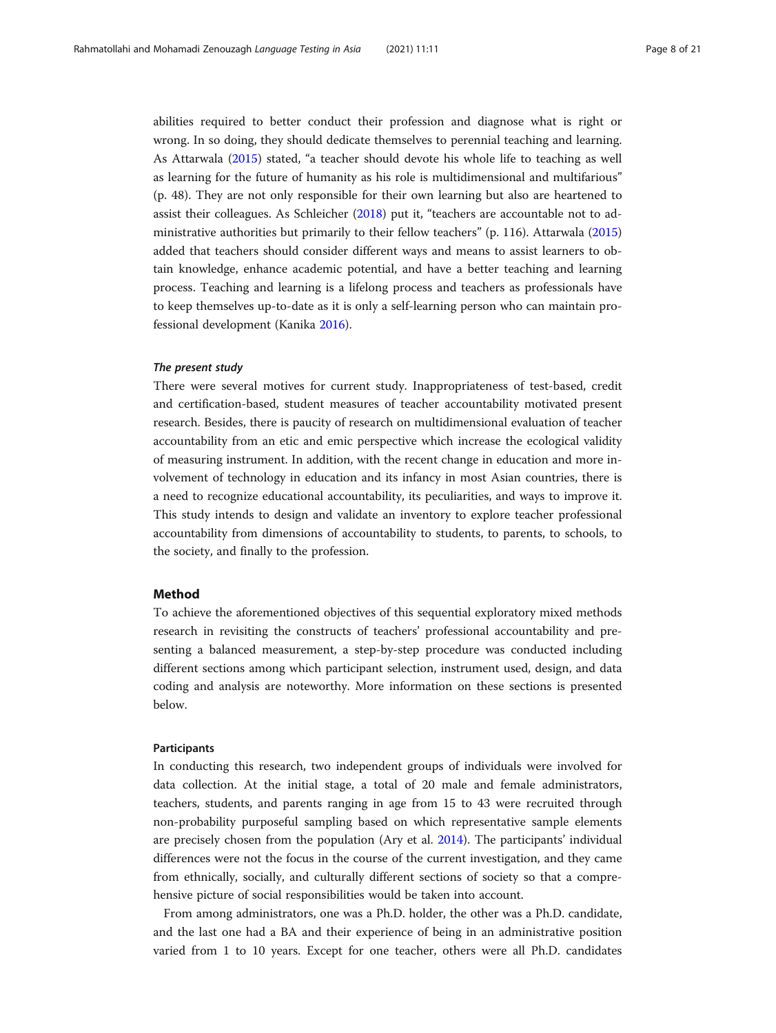abilities required to better conduct their profession and diagnose what is right or wrong. In so doing, they should dedicate themselves to perennial teaching and learning. As Attarwala [\(2015\)](#page-19-0) stated, "a teacher should devote his whole life to teaching as well as learning for the future of humanity as his role is multidimensional and multifarious" (p. 48). They are not only responsible for their own learning but also are heartened to assist their colleagues. As Schleicher [\(2018\)](#page-20-0) put it, "teachers are accountable not to administrative authorities but primarily to their fellow teachers" (p. 116). Attarwala ([2015](#page-19-0)) added that teachers should consider different ways and means to assist learners to obtain knowledge, enhance academic potential, and have a better teaching and learning process. Teaching and learning is a lifelong process and teachers as professionals have to keep themselves up-to-date as it is only a self-learning person who can maintain professional development (Kanika [2016\)](#page-20-0).

# The present study

There were several motives for current study. Inappropriateness of test-based, credit and certification-based, student measures of teacher accountability motivated present research. Besides, there is paucity of research on multidimensional evaluation of teacher accountability from an etic and emic perspective which increase the ecological validity of measuring instrument. In addition, with the recent change in education and more involvement of technology in education and its infancy in most Asian countries, there is a need to recognize educational accountability, its peculiarities, and ways to improve it. This study intends to design and validate an inventory to explore teacher professional accountability from dimensions of accountability to students, to parents, to schools, to the society, and finally to the profession.

# Method

To achieve the aforementioned objectives of this sequential exploratory mixed methods research in revisiting the constructs of teachers' professional accountability and presenting a balanced measurement, a step-by-step procedure was conducted including different sections among which participant selection, instrument used, design, and data coding and analysis are noteworthy. More information on these sections is presented below.

# Participants

In conducting this research, two independent groups of individuals were involved for data collection. At the initial stage, a total of 20 male and female administrators, teachers, students, and parents ranging in age from 15 to 43 were recruited through non-probability purposeful sampling based on which representative sample elements are precisely chosen from the population (Ary et al. [2014\)](#page-19-0). The participants' individual differences were not the focus in the course of the current investigation, and they came from ethnically, socially, and culturally different sections of society so that a comprehensive picture of social responsibilities would be taken into account.

From among administrators, one was a Ph.D. holder, the other was a Ph.D. candidate, and the last one had a BA and their experience of being in an administrative position varied from 1 to 10 years. Except for one teacher, others were all Ph.D. candidates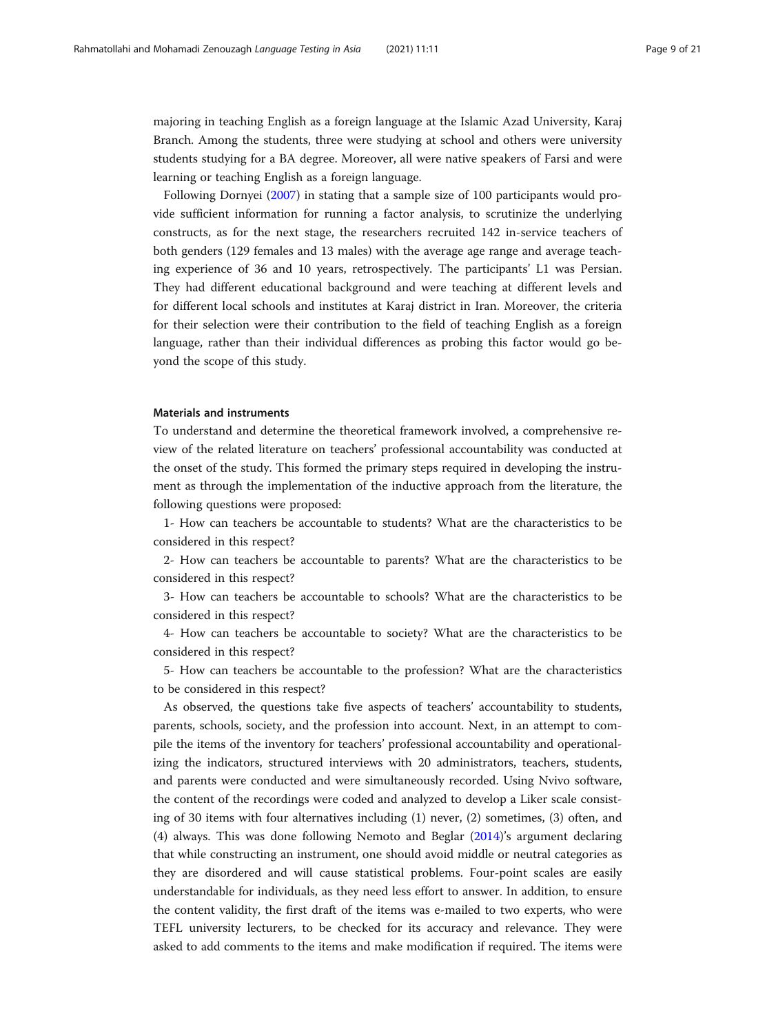majoring in teaching English as a foreign language at the Islamic Azad University, Karaj Branch. Among the students, three were studying at school and others were university students studying for a BA degree. Moreover, all were native speakers of Farsi and were learning or teaching English as a foreign language.

Following Dornyei ([2007](#page-19-0)) in stating that a sample size of 100 participants would provide sufficient information for running a factor analysis, to scrutinize the underlying constructs, as for the next stage, the researchers recruited 142 in-service teachers of both genders (129 females and 13 males) with the average age range and average teaching experience of 36 and 10 years, retrospectively. The participants' L1 was Persian. They had different educational background and were teaching at different levels and for different local schools and institutes at Karaj district in Iran. Moreover, the criteria for their selection were their contribution to the field of teaching English as a foreign language, rather than their individual differences as probing this factor would go beyond the scope of this study.

# Materials and instruments

To understand and determine the theoretical framework involved, a comprehensive review of the related literature on teachers' professional accountability was conducted at the onset of the study. This formed the primary steps required in developing the instrument as through the implementation of the inductive approach from the literature, the following questions were proposed:

1- How can teachers be accountable to students? What are the characteristics to be considered in this respect?

2- How can teachers be accountable to parents? What are the characteristics to be considered in this respect?

3- How can teachers be accountable to schools? What are the characteristics to be considered in this respect?

4- How can teachers be accountable to society? What are the characteristics to be considered in this respect?

5- How can teachers be accountable to the profession? What are the characteristics to be considered in this respect?

As observed, the questions take five aspects of teachers' accountability to students, parents, schools, society, and the profession into account. Next, in an attempt to compile the items of the inventory for teachers' professional accountability and operationalizing the indicators, structured interviews with 20 administrators, teachers, students, and parents were conducted and were simultaneously recorded. Using Nvivo software, the content of the recordings were coded and analyzed to develop a Liker scale consisting of 30 items with four alternatives including (1) never, (2) sometimes, (3) often, and (4) always. This was done following Nemoto and Beglar [\(2014\)](#page-20-0)'s argument declaring that while constructing an instrument, one should avoid middle or neutral categories as they are disordered and will cause statistical problems. Four-point scales are easily understandable for individuals, as they need less effort to answer. In addition, to ensure the content validity, the first draft of the items was e-mailed to two experts, who were TEFL university lecturers, to be checked for its accuracy and relevance. They were asked to add comments to the items and make modification if required. The items were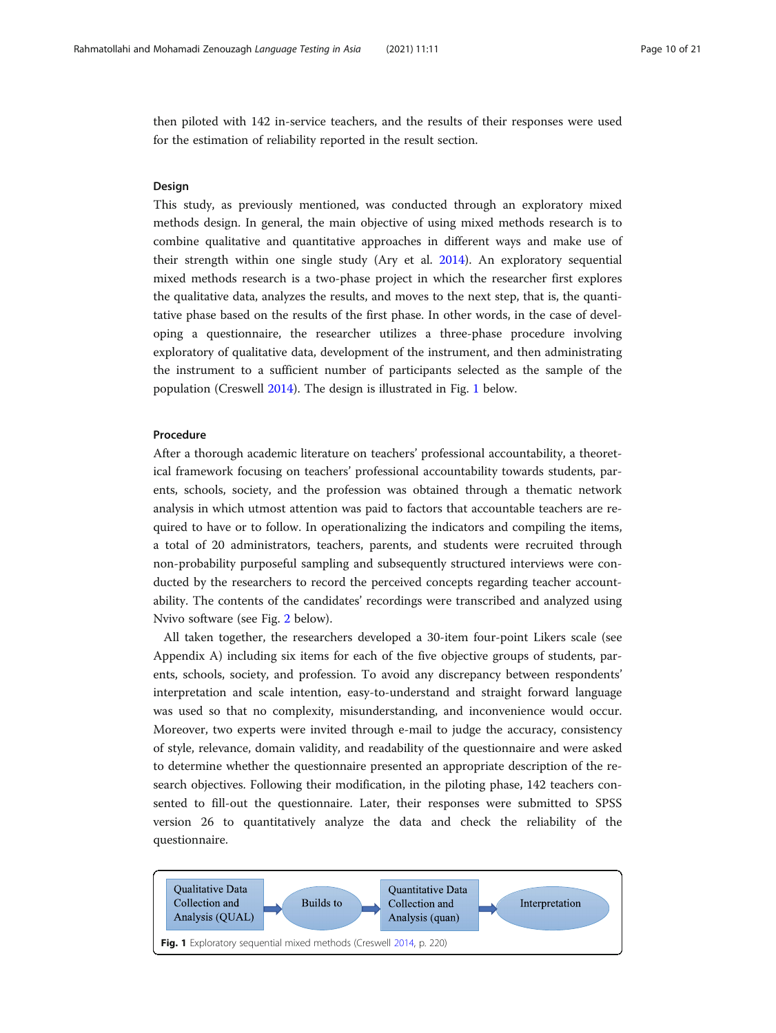<span id="page-9-0"></span>then piloted with 142 in-service teachers, and the results of their responses were used for the estimation of reliability reported in the result section.

# **Design**

This study, as previously mentioned, was conducted through an exploratory mixed methods design. In general, the main objective of using mixed methods research is to combine qualitative and quantitative approaches in different ways and make use of their strength within one single study (Ary et al. [2014\)](#page-19-0). An exploratory sequential mixed methods research is a two-phase project in which the researcher first explores the qualitative data, analyzes the results, and moves to the next step, that is, the quantitative phase based on the results of the first phase. In other words, in the case of developing a questionnaire, the researcher utilizes a three-phase procedure involving exploratory of qualitative data, development of the instrument, and then administrating the instrument to a sufficient number of participants selected as the sample of the population (Creswell [2014](#page-19-0)). The design is illustrated in Fig. 1 below.

# Procedure

After a thorough academic literature on teachers' professional accountability, a theoretical framework focusing on teachers' professional accountability towards students, parents, schools, society, and the profession was obtained through a thematic network analysis in which utmost attention was paid to factors that accountable teachers are required to have or to follow. In operationalizing the indicators and compiling the items, a total of 20 administrators, teachers, parents, and students were recruited through non-probability purposeful sampling and subsequently structured interviews were conducted by the researchers to record the perceived concepts regarding teacher accountability. The contents of the candidates' recordings were transcribed and analyzed using Nvivo software (see Fig. [2](#page-10-0) below).

All taken together, the researchers developed a 30-item four-point Likers scale (see Appendix A) including six items for each of the five objective groups of students, parents, schools, society, and profession. To avoid any discrepancy between respondents' interpretation and scale intention, easy-to-understand and straight forward language was used so that no complexity, misunderstanding, and inconvenience would occur. Moreover, two experts were invited through e-mail to judge the accuracy, consistency of style, relevance, domain validity, and readability of the questionnaire and were asked to determine whether the questionnaire presented an appropriate description of the research objectives. Following their modification, in the piloting phase, 142 teachers consented to fill-out the questionnaire. Later, their responses were submitted to SPSS version 26 to quantitatively analyze the data and check the reliability of the questionnaire.

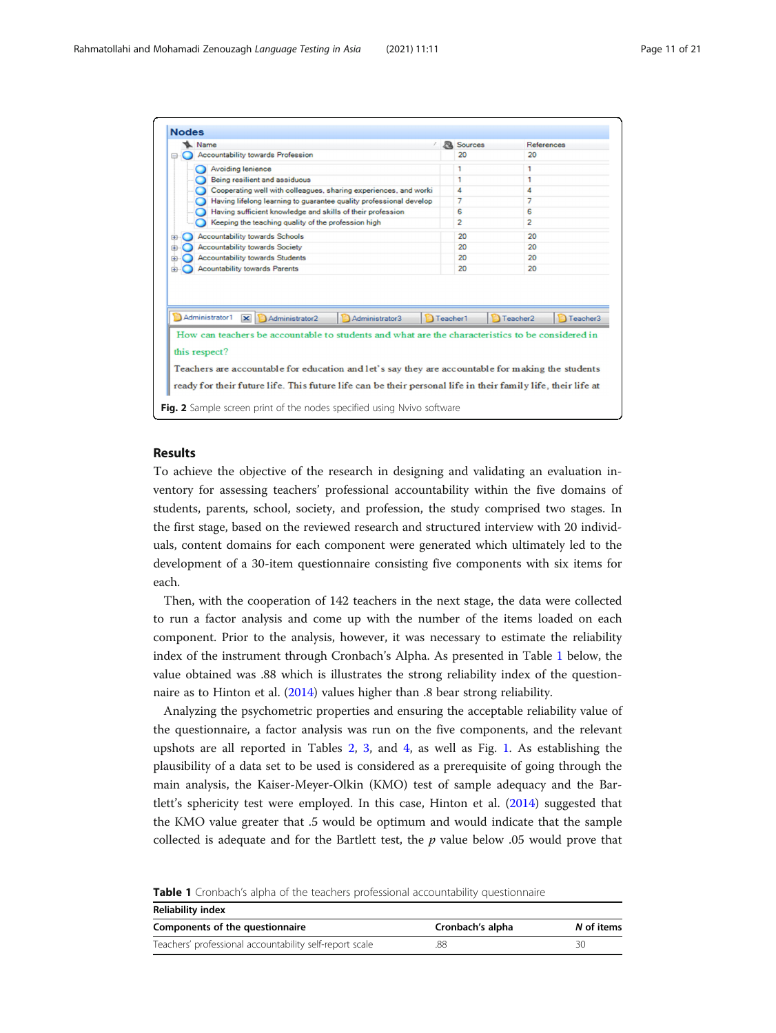<span id="page-10-0"></span>

| Name                                                                                                                                                                                                                                                                                                                                   |                   | <b>R</b> Sources | References                       |
|----------------------------------------------------------------------------------------------------------------------------------------------------------------------------------------------------------------------------------------------------------------------------------------------------------------------------------------|-------------------|------------------|----------------------------------|
| <b>Accountability towards Profession</b><br>⊟                                                                                                                                                                                                                                                                                          |                   | 20               | 20                               |
| <b>Avoiding lenience</b>                                                                                                                                                                                                                                                                                                               |                   | 1                | 1                                |
| Being resilient and assiduous                                                                                                                                                                                                                                                                                                          |                   | 1                | 1                                |
| Cooperating well with colleagues, sharing experiences, and worki                                                                                                                                                                                                                                                                       |                   | 4                | 4                                |
| Having lifelong learning to guarantee quality professional develop                                                                                                                                                                                                                                                                     |                   | 7                | 7                                |
| Having sufficient knowledge and skills of their profession                                                                                                                                                                                                                                                                             |                   | 6                | 6                                |
| Keeping the teaching quality of the profession high                                                                                                                                                                                                                                                                                    |                   | $\overline{2}$   | $\overline{2}$                   |
| <b>Accountability towards Schools</b>                                                                                                                                                                                                                                                                                                  |                   | 20               | 20                               |
| <b>Accountability towards Society</b>                                                                                                                                                                                                                                                                                                  |                   | 20               | 20                               |
| <b>Accountability towards Students</b>                                                                                                                                                                                                                                                                                                 |                   | 20               | 20                               |
|                                                                                                                                                                                                                                                                                                                                        |                   |                  |                                  |
| ⊞<br><b>Acountability towards Parents</b><br>田                                                                                                                                                                                                                                                                                         |                   | 20               | 20                               |
| Administrator1<br>$\overline{\mathbf{x}}$<br>Administrator2<br>Administrator3                                                                                                                                                                                                                                                          | <b>D</b> Teacher1 |                  | Teacher3<br>Teacher <sub>2</sub> |
|                                                                                                                                                                                                                                                                                                                                        |                   |                  |                                  |
|                                                                                                                                                                                                                                                                                                                                        |                   |                  |                                  |
|                                                                                                                                                                                                                                                                                                                                        |                   |                  |                                  |
| How can teachers be accountable to students and what are the characteristics to be considered in<br>this respect?<br>Teachers are accountable for education and let's say they are accountable for making the students<br>ready for their future life. This future life can be their personal life in their family life, their life at |                   |                  |                                  |

# Results

To achieve the objective of the research in designing and validating an evaluation inventory for assessing teachers' professional accountability within the five domains of students, parents, school, society, and profession, the study comprised two stages. In the first stage, based on the reviewed research and structured interview with 20 individuals, content domains for each component were generated which ultimately led to the development of a 30-item questionnaire consisting five components with six items for each.

Then, with the cooperation of 142 teachers in the next stage, the data were collected to run a factor analysis and come up with the number of the items loaded on each component. Prior to the analysis, however, it was necessary to estimate the reliability index of the instrument through Cronbach's Alpha. As presented in Table 1 below, the value obtained was .88 which is illustrates the strong reliability index of the questionnaire as to Hinton et al. [\(2014\)](#page-20-0) values higher than .8 bear strong reliability.

Analyzing the psychometric properties and ensuring the acceptable reliability value of the questionnaire, a factor analysis was run on the five components, and the relevant upshots are all reported in Tables [2](#page-11-0), [3,](#page-11-0) and [4,](#page-12-0) as well as Fig. [1.](#page-9-0) As establishing the plausibility of a data set to be used is considered as a prerequisite of going through the main analysis, the Kaiser-Meyer-Olkin (KMO) test of sample adequacy and the Bartlett's sphericity test were employed. In this case, Hinton et al. [\(2014\)](#page-20-0) suggested that the KMO value greater that .5 would be optimum and would indicate that the sample collected is adequate and for the Bartlett test, the  $p$  value below .05 would prove that

Table 1 Cronbach's alpha of the teachers professional accountability questionnaire

| Reliability index                                       |                  |            |  |  |  |  |
|---------------------------------------------------------|------------------|------------|--|--|--|--|
| Components of the questionnaire                         | Cronbach's alpha | N of items |  |  |  |  |
| Teachers' professional accountability self-report scale | .88              | 30         |  |  |  |  |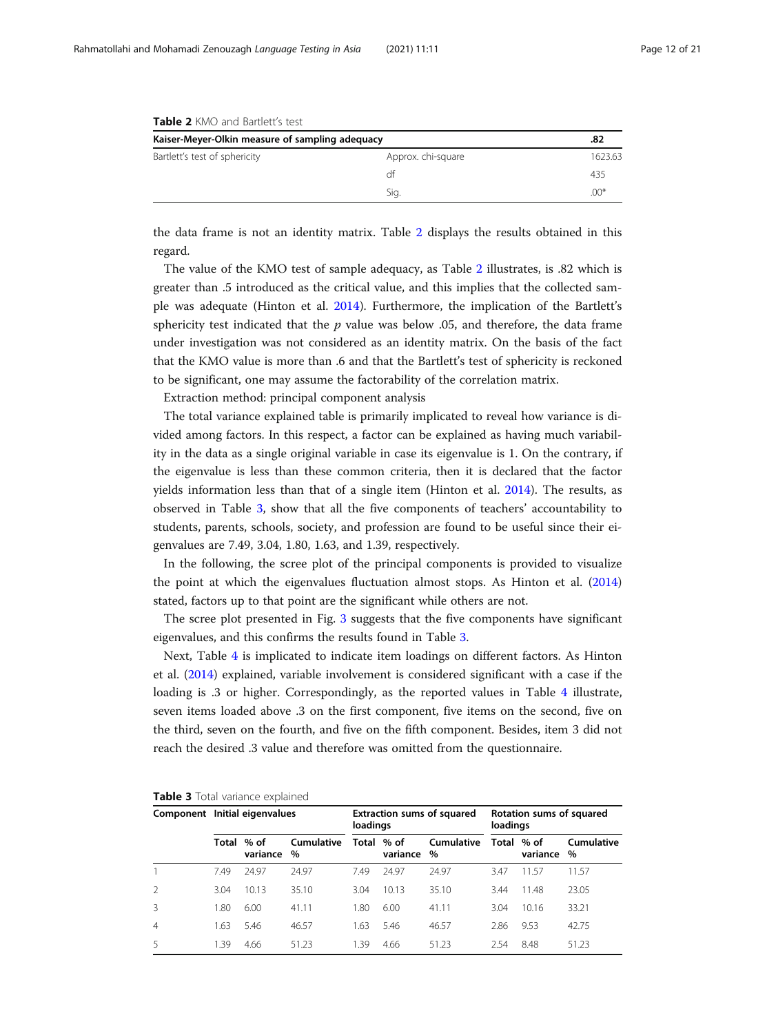| <b>TADIC 4</b> IVIIV AND DAILICLES LESE         |                    |         |  |  |  |  |
|-------------------------------------------------|--------------------|---------|--|--|--|--|
| Kaiser-Meyer-Olkin measure of sampling adequacy |                    | .82     |  |  |  |  |
| Bartlett's test of sphericity                   | Approx. chi-square | 1623.63 |  |  |  |  |
|                                                 | df                 | 435     |  |  |  |  |
|                                                 | Sig.               | $.00*$  |  |  |  |  |

<span id="page-11-0"></span>Table 2 KMO and Bartlett's test

the data frame is not an identity matrix. Table 2 displays the results obtained in this regard.

The value of the KMO test of sample adequacy, as Table 2 illustrates, is .82 which is greater than .5 introduced as the critical value, and this implies that the collected sample was adequate (Hinton et al. [2014](#page-20-0)). Furthermore, the implication of the Bartlett's sphericity test indicated that the  $p$  value was below .05, and therefore, the data frame under investigation was not considered as an identity matrix. On the basis of the fact that the KMO value is more than .6 and that the Bartlett's test of sphericity is reckoned to be significant, one may assume the factorability of the correlation matrix.

Extraction method: principal component analysis

The total variance explained table is primarily implicated to reveal how variance is divided among factors. In this respect, a factor can be explained as having much variability in the data as a single original variable in case its eigenvalue is 1. On the contrary, if the eigenvalue is less than these common criteria, then it is declared that the factor yields information less than that of a single item (Hinton et al. [2014](#page-20-0)). The results, as observed in Table 3, show that all the five components of teachers' accountability to students, parents, schools, society, and profession are found to be useful since their eigenvalues are 7.49, 3.04, 1.80, 1.63, and 1.39, respectively.

In the following, the scree plot of the principal components is provided to visualize the point at which the eigenvalues fluctuation almost stops. As Hinton et al. ([2014](#page-20-0)) stated, factors up to that point are the significant while others are not.

The scree plot presented in Fig. [3](#page-13-0) suggests that the five components have significant eigenvalues, and this confirms the results found in Table 3.

Next, Table [4](#page-12-0) is implicated to indicate item loadings on different factors. As Hinton et al. [\(2014\)](#page-20-0) explained, variable involvement is considered significant with a case if the loading is .3 or higher. Correspondingly, as the reported values in Table [4](#page-12-0) illustrate, seven items loaded above .3 on the first component, five items on the second, five on the third, seven on the fourth, and five on the fifth component. Besides, item 3 did not reach the desired .3 value and therefore was omitted from the questionnaire.

|                | Component Initial eigenvalues |                    |                        | <b>Extraction sums of squared</b><br>loadings |                        |                           | Rotation sums of squared<br>loadings |          |                    |  |
|----------------|-------------------------------|--------------------|------------------------|-----------------------------------------------|------------------------|---------------------------|--------------------------------------|----------|--------------------|--|
|                | Total                         | $%$ of<br>variance | <b>Cumulative</b><br>% |                                               | Total % of<br>variance | <b>Cumulative</b><br>$\%$ | Total % of                           | variance | Cumulative<br>$\%$ |  |
|                | 7.49                          | 24.97              | 24.97                  | 749                                           | 24.97                  | 24.97                     | 3.47                                 | 11.57    | 11.57              |  |
|                | 3.04                          | 10.13              | 35.10                  | 3.04                                          | 10.13                  | 35.10                     | 3.44                                 | 11.48    | 23.05              |  |
| 3              | 1.80                          | 6.00               | 41.11                  | 1.80                                          | 6.00                   | 41.11                     | 3.04                                 | 10.16    | 33.21              |  |
| $\overline{4}$ | 1.63                          | 5.46               | 46.57                  | .63                                           | 5.46                   | 46.57                     | 2.86                                 | 9.53     | 42.75              |  |
| 5              | 1.39                          | 4.66               | 51.23                  | 1.39                                          | 4.66                   | 51.23                     | 2.54                                 | 8.48     | 51.23              |  |

|  |  |  |  |  | Table 3 Total variance explained |
|--|--|--|--|--|----------------------------------|
|--|--|--|--|--|----------------------------------|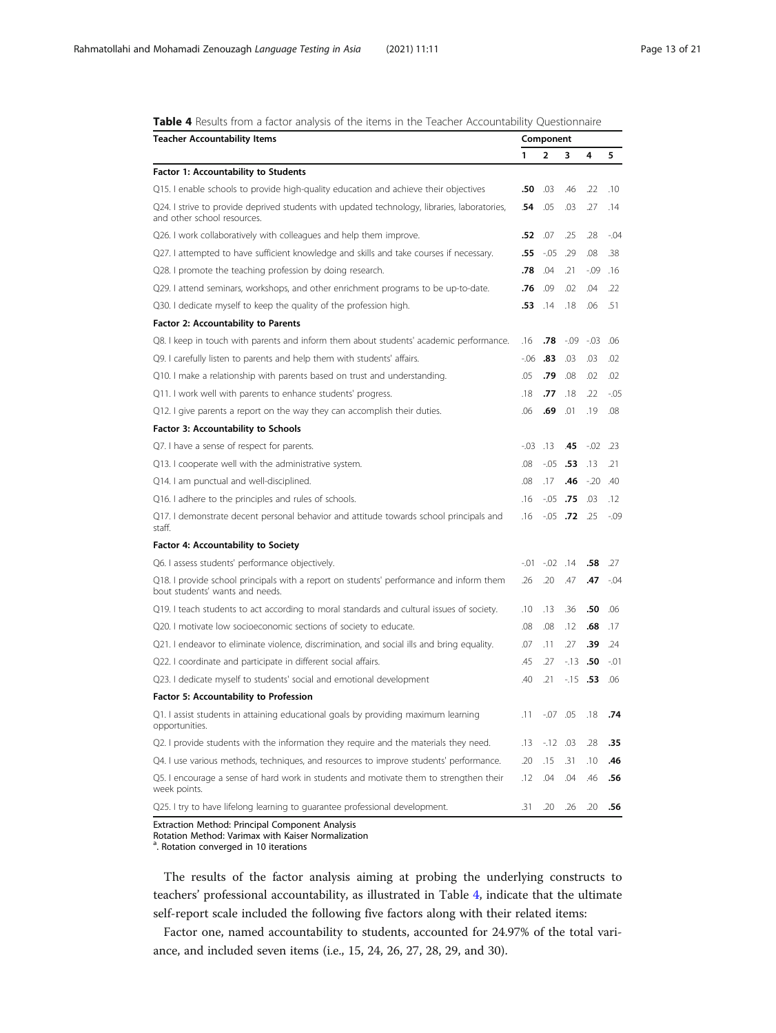| <b>Teacher Accountability Items</b>                                                                                         |         | Component    |       |         |         |  |  |  |
|-----------------------------------------------------------------------------------------------------------------------------|---------|--------------|-------|---------|---------|--|--|--|
|                                                                                                                             | 1       | 2            | 3     | 4       | 5       |  |  |  |
| <b>Factor 1: Accountability to Students</b>                                                                                 |         |              |       |         |         |  |  |  |
| Q15. I enable schools to provide high-quality education and achieve their objectives                                        | .50     | .03          | .46   | .22     | .10     |  |  |  |
| Q24. I strive to provide deprived students with updated technology, libraries, laboratories,<br>and other school resources. | .54     | .05          | .03   | .27     | .14     |  |  |  |
| Q26. I work collaboratively with colleagues and help them improve.                                                          | .52     | .07          | .25   | .28     | -.04    |  |  |  |
| Q27. I attempted to have sufficient knowledge and skills and take courses if necessary.                                     | .55     | -.05         | .29   | .08     | .38     |  |  |  |
| Q28. I promote the teaching profession by doing research.                                                                   | .78     | .04          | .21   | -.09    | .16     |  |  |  |
| Q29. I attend seminars, workshops, and other enrichment programs to be up-to-date.                                          | .76     | .09          | .02   | .04     | .22     |  |  |  |
| Q30. I dedicate myself to keep the quality of the profession high.                                                          | .53     | .14          | .18   | .06     | .51     |  |  |  |
| <b>Factor 2: Accountability to Parents</b>                                                                                  |         |              |       |         |         |  |  |  |
| Q8. I keep in touch with parents and inform them about students' academic performance.                                      | .16     | .78          | -.09  | $-03$   | .06     |  |  |  |
| Q9. I carefully listen to parents and help them with students' affairs.                                                     | $-06$   | .83          | .03   | .03     | .02     |  |  |  |
| Q10. I make a relationship with parents based on trust and understanding.                                                   | .05     | .79          | .08   | .02     | .02     |  |  |  |
| Q11. I work well with parents to enhance students' progress.                                                                | .18     | .77          | .18   | .22     | -.05    |  |  |  |
| Q12. I give parents a report on the way they can accomplish their duties.                                                   | .06     | .69          | .01   | .19     | .08     |  |  |  |
| Factor 3: Accountability to Schools                                                                                         |         |              |       |         |         |  |  |  |
| Q7. I have a sense of respect for parents.                                                                                  | $-0.03$ | .13          | .45   | $-0.02$ | .23     |  |  |  |
| Q13. I cooperate well with the administrative system.                                                                       | .08     | -.05         | .53   | .13     | .21     |  |  |  |
| Q14. I am punctual and well-disciplined.                                                                                    | .08     | .17          | .46   | $-20$   | .40     |  |  |  |
| Q16. I adhere to the principles and rules of schools.                                                                       | .16     | -.05         | .75   | .03     | .12     |  |  |  |
| Q17. I demonstrate decent personal behavior and attitude towards school principals and<br>staff.                            | .16     | $-.05$       | .72   | .25     | $-0.09$ |  |  |  |
| <b>Factor 4: Accountability to Society</b>                                                                                  |         |              |       |         |         |  |  |  |
| Q6. I assess students' performance objectively.                                                                             | $-.01$  | $-02$        | .14   | .58     | .27     |  |  |  |
| Q18. I provide school principals with a report on students' performance and inform them<br>bout students' wants and needs.  | .26     | .20          | .47   | .47     | -.04    |  |  |  |
| Q19. I teach students to act according to moral standards and cultural issues of society.                                   | .10     | .13          | .36   | .50     | .06     |  |  |  |
| Q20. I motivate low socioeconomic sections of society to educate.                                                           | .08     | .08          | .12   | .68     | .17     |  |  |  |
| Q21. I endeavor to eliminate violence, discrimination, and social ills and bring equality.                                  | .07     | .11          | .27   | .39     | .24     |  |  |  |
| Q22. I coordinate and participate in different social affairs.                                                              | .45     | .27          | $-13$ | .50     | $-01$   |  |  |  |
| Q23. I dedicate myself to students' social and emotional development                                                        | .40     | .21          | $-15$ | .53     | .06     |  |  |  |
| Factor 5: Accountability to Profession                                                                                      |         |              |       |         |         |  |  |  |
| Q1. I assist students in attaining educational goals by providing maximum learning<br>opportunities.                        | .11     | $-0.07$ 0.05 |       | .18     | .74     |  |  |  |
| Q2. I provide students with the information they require and the materials they need.                                       | .13     | $-12$ .03    |       | .28     | .35     |  |  |  |
| Q4. I use various methods, techniques, and resources to improve students' performance.                                      | .20     | .15          | .31   | .10     | .46     |  |  |  |
| Q5. I encourage a sense of hard work in students and motivate them to strengthen their<br>week points.                      | .12     | .04          | .04   | .46     | .56     |  |  |  |
| Q25. I try to have lifelong learning to guarantee professional development.                                                 | .31     | .20          | .26   | .20     | .56     |  |  |  |
|                                                                                                                             |         |              |       |         |         |  |  |  |

<span id="page-12-0"></span>Table 4 Results from a factor analysis of the items in the Teacher Accountability Questionnaire

Extraction Method: Principal Component Analysis

Rotation Method: Varimax with Kaiser Normalization a . Rotation converged in 10 iterations

The results of the factor analysis aiming at probing the underlying constructs to teachers' professional accountability, as illustrated in Table 4, indicate that the ultimate self-report scale included the following five factors along with their related items:

Factor one, named accountability to students, accounted for 24.97% of the total variance, and included seven items (i.e., 15, 24, 26, 27, 28, 29, and 30).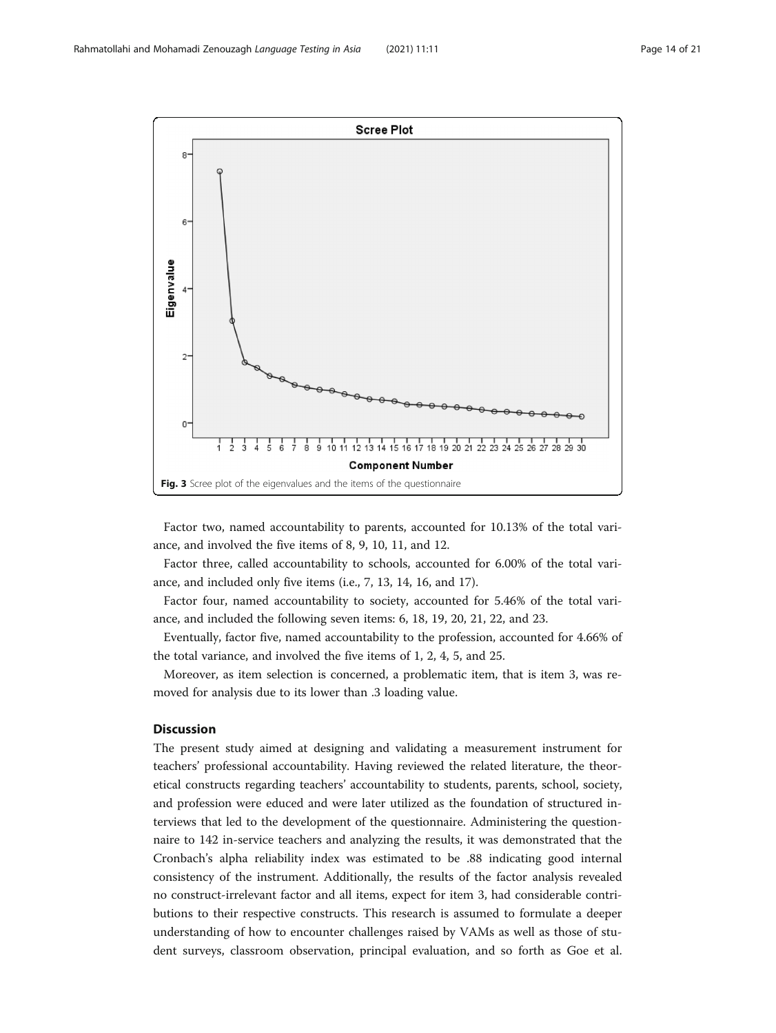<span id="page-13-0"></span>

Factor two, named accountability to parents, accounted for 10.13% of the total variance, and involved the five items of 8, 9, 10, 11, and 12.

Factor three, called accountability to schools, accounted for 6.00% of the total variance, and included only five items (i.e., 7, 13, 14, 16, and 17).

Factor four, named accountability to society, accounted for 5.46% of the total variance, and included the following seven items: 6, 18, 19, 20, 21, 22, and 23.

Eventually, factor five, named accountability to the profession, accounted for 4.66% of the total variance, and involved the five items of 1, 2, 4, 5, and 25.

Moreover, as item selection is concerned, a problematic item, that is item 3, was removed for analysis due to its lower than .3 loading value.

# **Discussion**

The present study aimed at designing and validating a measurement instrument for teachers' professional accountability. Having reviewed the related literature, the theoretical constructs regarding teachers' accountability to students, parents, school, society, and profession were educed and were later utilized as the foundation of structured interviews that led to the development of the questionnaire. Administering the questionnaire to 142 in-service teachers and analyzing the results, it was demonstrated that the Cronbach's alpha reliability index was estimated to be .88 indicating good internal consistency of the instrument. Additionally, the results of the factor analysis revealed no construct-irrelevant factor and all items, expect for item 3, had considerable contributions to their respective constructs. This research is assumed to formulate a deeper understanding of how to encounter challenges raised by VAMs as well as those of student surveys, classroom observation, principal evaluation, and so forth as Goe et al.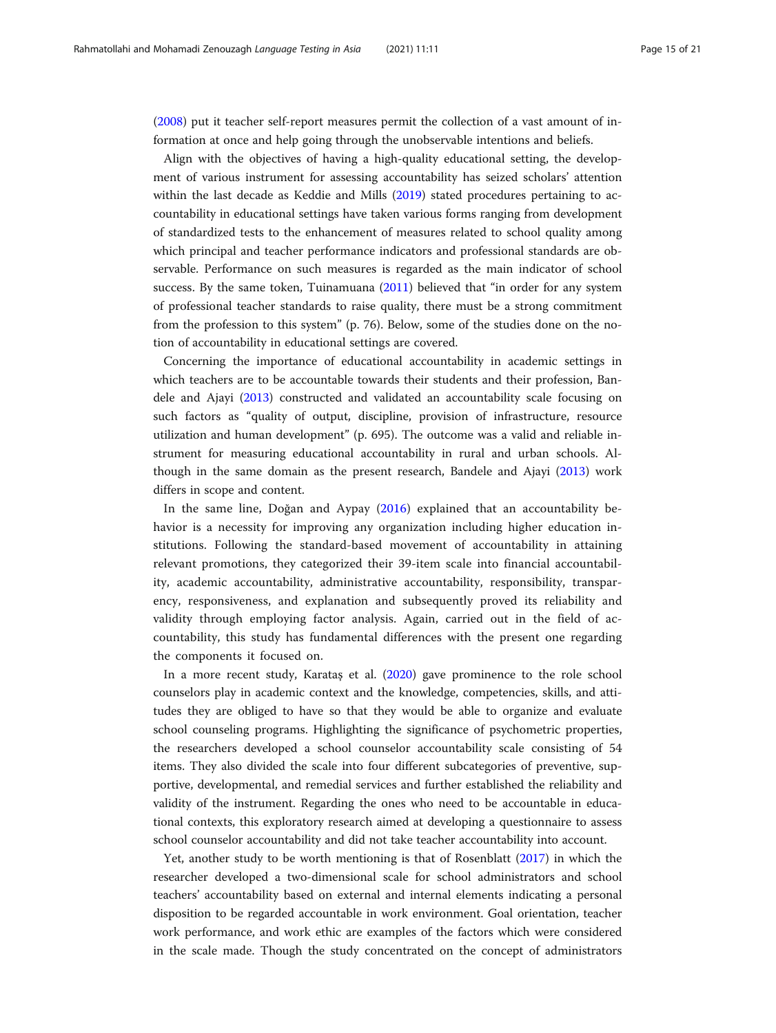([2008](#page-20-0)) put it teacher self-report measures permit the collection of a vast amount of information at once and help going through the unobservable intentions and beliefs.

Align with the objectives of having a high-quality educational setting, the development of various instrument for assessing accountability has seized scholars' attention within the last decade as Keddie and Mills [\(2019\)](#page-20-0) stated procedures pertaining to accountability in educational settings have taken various forms ranging from development of standardized tests to the enhancement of measures related to school quality among which principal and teacher performance indicators and professional standards are observable. Performance on such measures is regarded as the main indicator of school success. By the same token, Tuinamuana [\(2011](#page-20-0)) believed that "in order for any system of professional teacher standards to raise quality, there must be a strong commitment from the profession to this system" (p. 76). Below, some of the studies done on the notion of accountability in educational settings are covered.

Concerning the importance of educational accountability in academic settings in which teachers are to be accountable towards their students and their profession, Bandele and Ajayi [\(2013\)](#page-19-0) constructed and validated an accountability scale focusing on such factors as "quality of output, discipline, provision of infrastructure, resource utilization and human development" (p. 695). The outcome was a valid and reliable instrument for measuring educational accountability in rural and urban schools. Although in the same domain as the present research, Bandele and Ajayi ([2013\)](#page-19-0) work differs in scope and content.

In the same line, Doğan and Aypay [\(2016](#page-19-0)) explained that an accountability behavior is a necessity for improving any organization including higher education institutions. Following the standard-based movement of accountability in attaining relevant promotions, they categorized their 39-item scale into financial accountability, academic accountability, administrative accountability, responsibility, transparency, responsiveness, and explanation and subsequently proved its reliability and validity through employing factor analysis. Again, carried out in the field of accountability, this study has fundamental differences with the present one regarding the components it focused on.

In a more recent study, Karataş et al. ([2020\)](#page-20-0) gave prominence to the role school counselors play in academic context and the knowledge, competencies, skills, and attitudes they are obliged to have so that they would be able to organize and evaluate school counseling programs. Highlighting the significance of psychometric properties, the researchers developed a school counselor accountability scale consisting of 54 items. They also divided the scale into four different subcategories of preventive, supportive, developmental, and remedial services and further established the reliability and validity of the instrument. Regarding the ones who need to be accountable in educational contexts, this exploratory research aimed at developing a questionnaire to assess school counselor accountability and did not take teacher accountability into account.

Yet, another study to be worth mentioning is that of Rosenblatt ([2017\)](#page-20-0) in which the researcher developed a two-dimensional scale for school administrators and school teachers' accountability based on external and internal elements indicating a personal disposition to be regarded accountable in work environment. Goal orientation, teacher work performance, and work ethic are examples of the factors which were considered in the scale made. Though the study concentrated on the concept of administrators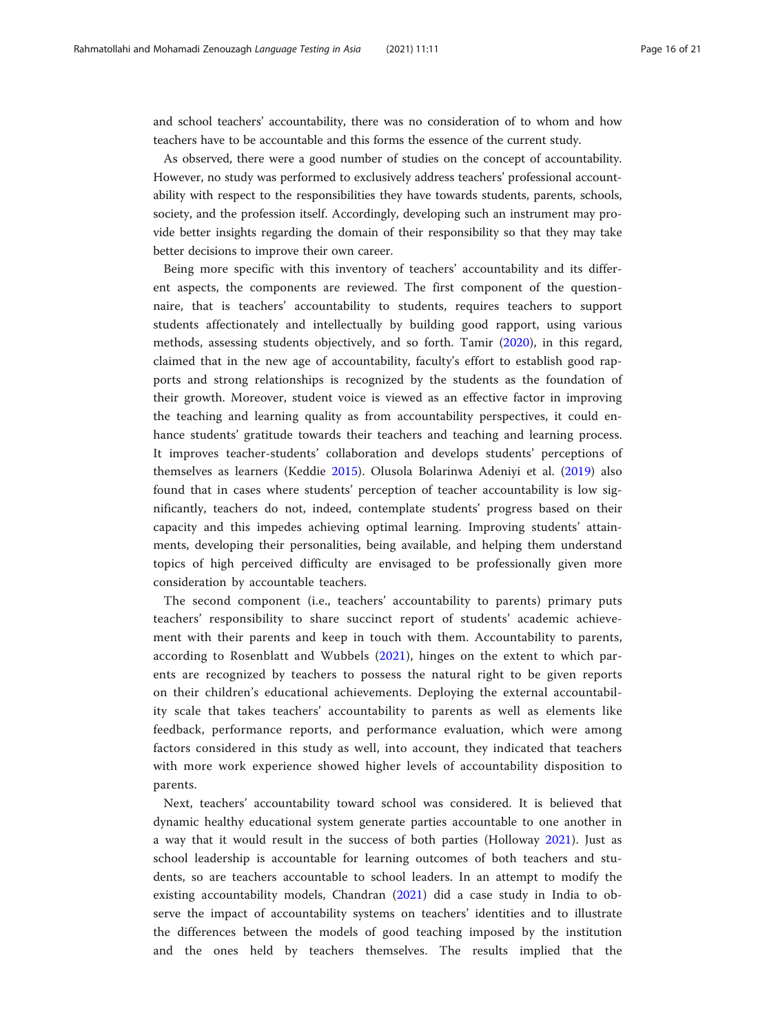and school teachers' accountability, there was no consideration of to whom and how teachers have to be accountable and this forms the essence of the current study.

As observed, there were a good number of studies on the concept of accountability. However, no study was performed to exclusively address teachers' professional accountability with respect to the responsibilities they have towards students, parents, schools, society, and the profession itself. Accordingly, developing such an instrument may provide better insights regarding the domain of their responsibility so that they may take better decisions to improve their own career.

Being more specific with this inventory of teachers' accountability and its different aspects, the components are reviewed. The first component of the questionnaire, that is teachers' accountability to students, requires teachers to support students affectionately and intellectually by building good rapport, using various methods, assessing students objectively, and so forth. Tamir ([2020\)](#page-20-0), in this regard, claimed that in the new age of accountability, faculty's effort to establish good rapports and strong relationships is recognized by the students as the foundation of their growth. Moreover, student voice is viewed as an effective factor in improving the teaching and learning quality as from accountability perspectives, it could enhance students' gratitude towards their teachers and teaching and learning process. It improves teacher-students' collaboration and develops students' perceptions of themselves as learners (Keddie [2015\)](#page-20-0). Olusola Bolarinwa Adeniyi et al. ([2019\)](#page-20-0) also found that in cases where students' perception of teacher accountability is low significantly, teachers do not, indeed, contemplate students' progress based on their capacity and this impedes achieving optimal learning. Improving students' attainments, developing their personalities, being available, and helping them understand topics of high perceived difficulty are envisaged to be professionally given more consideration by accountable teachers.

The second component (i.e., teachers' accountability to parents) primary puts teachers' responsibility to share succinct report of students' academic achievement with their parents and keep in touch with them. Accountability to parents, according to Rosenblatt and Wubbels [\(2021\)](#page-20-0), hinges on the extent to which parents are recognized by teachers to possess the natural right to be given reports on their children's educational achievements. Deploying the external accountability scale that takes teachers' accountability to parents as well as elements like feedback, performance reports, and performance evaluation, which were among factors considered in this study as well, into account, they indicated that teachers with more work experience showed higher levels of accountability disposition to parents.

Next, teachers' accountability toward school was considered. It is believed that dynamic healthy educational system generate parties accountable to one another in a way that it would result in the success of both parties (Holloway [2021\)](#page-20-0). Just as school leadership is accountable for learning outcomes of both teachers and students, so are teachers accountable to school leaders. In an attempt to modify the existing accountability models, Chandran ([2021\)](#page-19-0) did a case study in India to observe the impact of accountability systems on teachers' identities and to illustrate the differences between the models of good teaching imposed by the institution and the ones held by teachers themselves. The results implied that the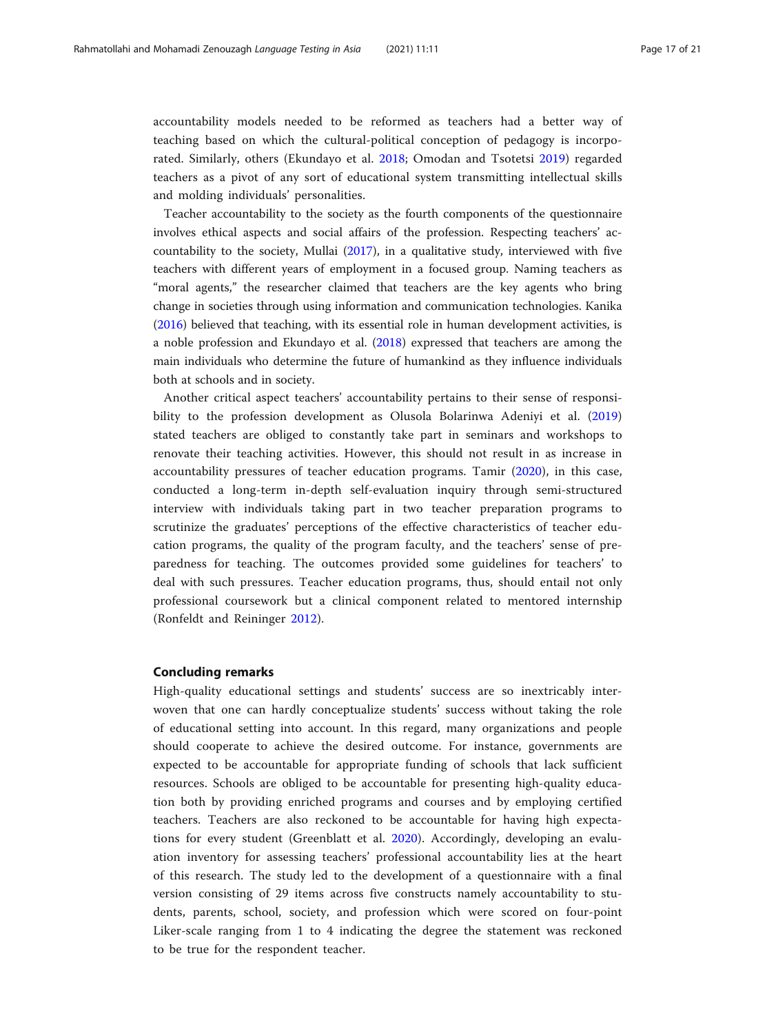accountability models needed to be reformed as teachers had a better way of teaching based on which the cultural-political conception of pedagogy is incorporated. Similarly, others (Ekundayo et al. [2018](#page-19-0); Omodan and Tsotetsi [2019](#page-20-0)) regarded teachers as a pivot of any sort of educational system transmitting intellectual skills and molding individuals' personalities.

Teacher accountability to the society as the fourth components of the questionnaire involves ethical aspects and social affairs of the profession. Respecting teachers' accountability to the society, Mullai ([2017](#page-20-0)), in a qualitative study, interviewed with five teachers with different years of employment in a focused group. Naming teachers as "moral agents," the researcher claimed that teachers are the key agents who bring change in societies through using information and communication technologies. Kanika ([2016](#page-20-0)) believed that teaching, with its essential role in human development activities, is a noble profession and Ekundayo et al. [\(2018\)](#page-19-0) expressed that teachers are among the main individuals who determine the future of humankind as they influence individuals both at schools and in society.

Another critical aspect teachers' accountability pertains to their sense of responsibility to the profession development as Olusola Bolarinwa Adeniyi et al. [\(2019](#page-20-0)) stated teachers are obliged to constantly take part in seminars and workshops to renovate their teaching activities. However, this should not result in as increase in accountability pressures of teacher education programs. Tamir ([2020\)](#page-20-0), in this case, conducted a long-term in-depth self-evaluation inquiry through semi-structured interview with individuals taking part in two teacher preparation programs to scrutinize the graduates' perceptions of the effective characteristics of teacher education programs, the quality of the program faculty, and the teachers' sense of preparedness for teaching. The outcomes provided some guidelines for teachers' to deal with such pressures. Teacher education programs, thus, should entail not only professional coursework but a clinical component related to mentored internship (Ronfeldt and Reininger [2012](#page-20-0)).

# Concluding remarks

High-quality educational settings and students' success are so inextricably interwoven that one can hardly conceptualize students' success without taking the role of educational setting into account. In this regard, many organizations and people should cooperate to achieve the desired outcome. For instance, governments are expected to be accountable for appropriate funding of schools that lack sufficient resources. Schools are obliged to be accountable for presenting high-quality education both by providing enriched programs and courses and by employing certified teachers. Teachers are also reckoned to be accountable for having high expectations for every student (Greenblatt et al. [2020\)](#page-20-0). Accordingly, developing an evaluation inventory for assessing teachers' professional accountability lies at the heart of this research. The study led to the development of a questionnaire with a final version consisting of 29 items across five constructs namely accountability to students, parents, school, society, and profession which were scored on four-point Liker-scale ranging from 1 to 4 indicating the degree the statement was reckoned to be true for the respondent teacher.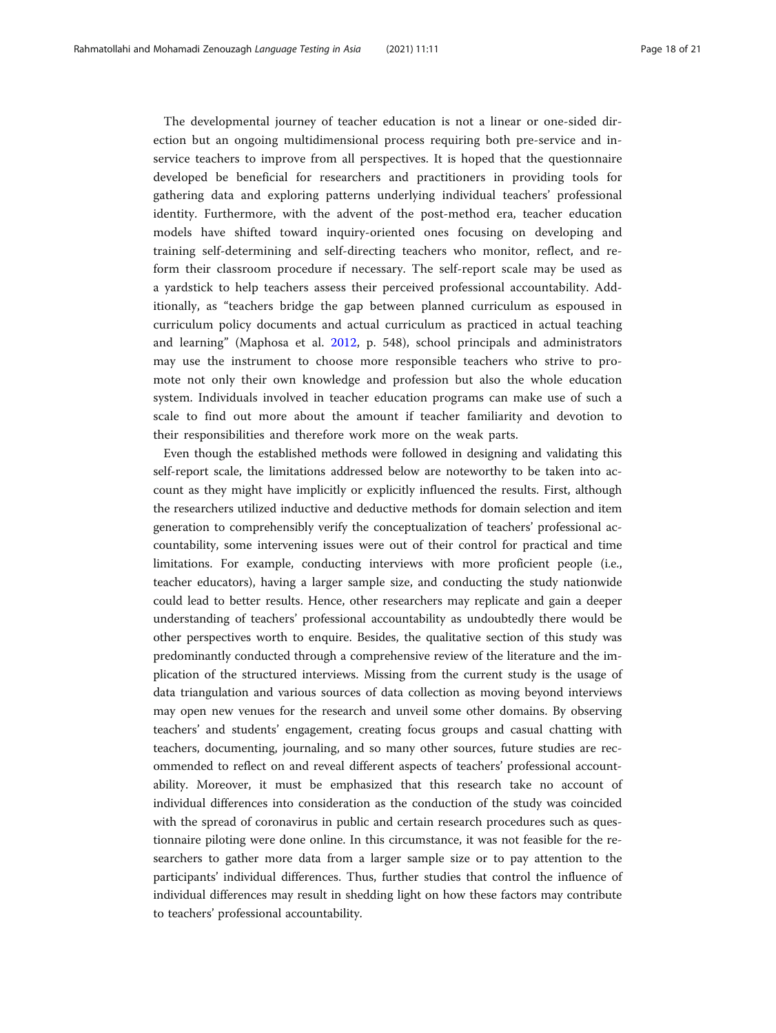The developmental journey of teacher education is not a linear or one-sided direction but an ongoing multidimensional process requiring both pre-service and inservice teachers to improve from all perspectives. It is hoped that the questionnaire developed be beneficial for researchers and practitioners in providing tools for gathering data and exploring patterns underlying individual teachers' professional identity. Furthermore, with the advent of the post-method era, teacher education models have shifted toward inquiry-oriented ones focusing on developing and training self-determining and self-directing teachers who monitor, reflect, and reform their classroom procedure if necessary. The self-report scale may be used as a yardstick to help teachers assess their perceived professional accountability. Additionally, as "teachers bridge the gap between planned curriculum as espoused in curriculum policy documents and actual curriculum as practiced in actual teaching and learning" (Maphosa et al. [2012,](#page-20-0) p. 548), school principals and administrators may use the instrument to choose more responsible teachers who strive to promote not only their own knowledge and profession but also the whole education system. Individuals involved in teacher education programs can make use of such a scale to find out more about the amount if teacher familiarity and devotion to their responsibilities and therefore work more on the weak parts.

Even though the established methods were followed in designing and validating this self-report scale, the limitations addressed below are noteworthy to be taken into account as they might have implicitly or explicitly influenced the results. First, although the researchers utilized inductive and deductive methods for domain selection and item generation to comprehensibly verify the conceptualization of teachers' professional accountability, some intervening issues were out of their control for practical and time limitations. For example, conducting interviews with more proficient people (i.e., teacher educators), having a larger sample size, and conducting the study nationwide could lead to better results. Hence, other researchers may replicate and gain a deeper understanding of teachers' professional accountability as undoubtedly there would be other perspectives worth to enquire. Besides, the qualitative section of this study was predominantly conducted through a comprehensive review of the literature and the implication of the structured interviews. Missing from the current study is the usage of data triangulation and various sources of data collection as moving beyond interviews may open new venues for the research and unveil some other domains. By observing teachers' and students' engagement, creating focus groups and casual chatting with teachers, documenting, journaling, and so many other sources, future studies are recommended to reflect on and reveal different aspects of teachers' professional accountability. Moreover, it must be emphasized that this research take no account of individual differences into consideration as the conduction of the study was coincided with the spread of coronavirus in public and certain research procedures such as questionnaire piloting were done online. In this circumstance, it was not feasible for the researchers to gather more data from a larger sample size or to pay attention to the participants' individual differences. Thus, further studies that control the influence of individual differences may result in shedding light on how these factors may contribute to teachers' professional accountability.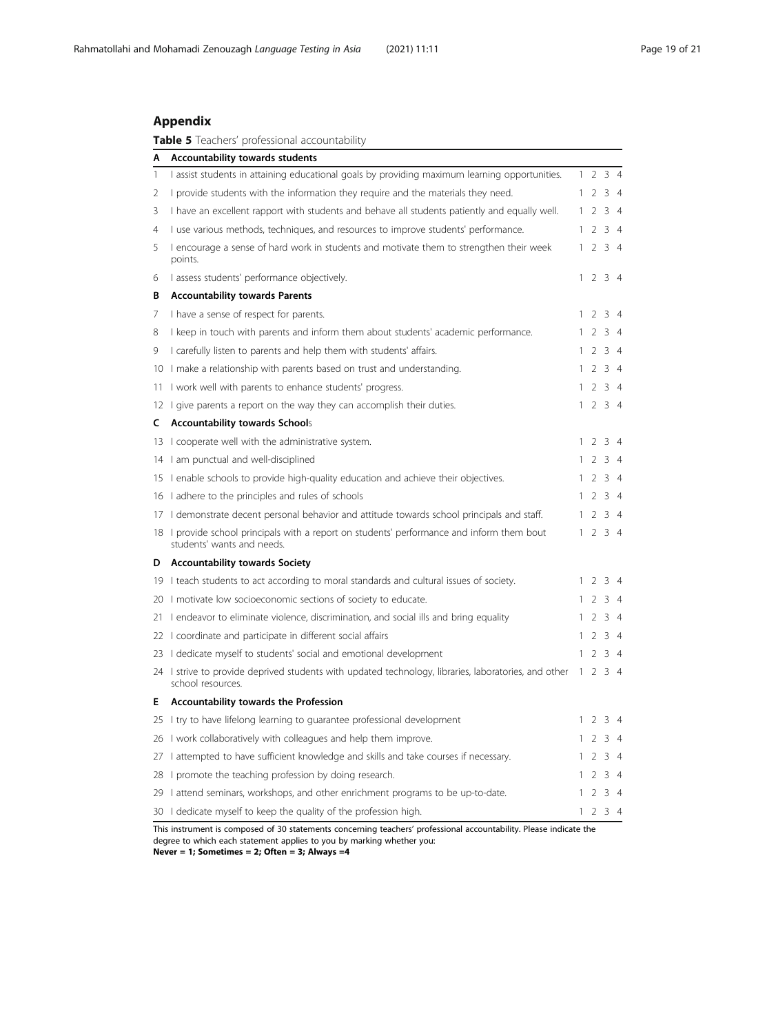# Appendix

Table 5 Teachers' professional accountability

| Α  | Accountability towards students                                                                                           |              |                |             |                |
|----|---------------------------------------------------------------------------------------------------------------------------|--------------|----------------|-------------|----------------|
| 1  | I assist students in attaining educational goals by providing maximum learning opportunities.                             | 1            | $\overline{2}$ | 3           | $\overline{4}$ |
| 2  | I provide students with the information they require and the materials they need.                                         | 1            | 2              |             | 34             |
| 3  | I have an excellent rapport with students and behave all students patiently and equally well.                             | 1            | 2              | 3           | $\overline{4}$ |
| 4  | I use various methods, techniques, and resources to improve students' performance.                                        | 1            | 2              |             | 34             |
| 5  | I encourage a sense of hard work in students and motivate them to strengthen their week<br>points.                        | 1            | $\overline{2}$ |             | 34             |
| 6  | I assess students' performance objectively.                                                                               |              | $1\quad2$      |             | 34             |
| В  | <b>Accountability towards Parents</b>                                                                                     |              |                |             |                |
| 7  | I have a sense of respect for parents.                                                                                    |              | 2              | 3           | $\overline{4}$ |
| 8  | I keep in touch with parents and inform them about students' academic performance.                                        | 1            | $\mathcal{L}$  |             | 34             |
| 9  | I carefully listen to parents and help them with students' affairs.                                                       | 1            | 2              |             | 34             |
| 10 | I make a relationship with parents based on trust and understanding.                                                      | 1            | 2              |             | 34             |
| 11 | I work well with parents to enhance students' progress.                                                                   | 1            | 2              |             | 34             |
| 12 | I give parents a report on the way they can accomplish their duties.                                                      |              | 1234           |             |                |
| c  | <b>Accountability towards Schools</b>                                                                                     |              |                |             |                |
|    | 13   cooperate well with the administrative system.                                                                       |              | $1\quad2$      |             | 34             |
|    | 14 I am punctual and well-disciplined                                                                                     | 1.           | $2^{\circ}$    |             | 34             |
|    | 15 I enable schools to provide high-quality education and achieve their objectives.                                       | 1            | 2              |             | 34             |
|    | 16 I adhere to the principles and rules of schools                                                                        | 1            | 2              |             | 34             |
|    | 17 I demonstrate decent personal behavior and attitude towards school principals and staff.                               | 1            | 2              |             | 34             |
|    | 18 I provide school principals with a report on students' performance and inform them bout<br>students' wants and needs.  |              | 1234           |             |                |
|    | D Accountability towards Society                                                                                          |              |                |             |                |
|    | 19 I teach students to act according to moral standards and cultural issues of society.                                   | 1.           | 2              |             | 34             |
|    | 20 I motivate low socioeconomic sections of society to educate.                                                           | 1.           | 2              |             | 34             |
|    | 21 Lendeavor to eliminate violence, discrimination, and social ills and bring equality                                    | 1            | 2              |             | 34             |
|    | 22 I coordinate and participate in different social affairs                                                               | 1            | 2              |             | 34             |
|    | 23 I dedicate myself to students' social and emotional development                                                        | 1            | $\overline{2}$ |             | 34             |
|    | 24 I strive to provide deprived students with updated technology, libraries, laboratories, and other<br>school resources. | $\mathbf{1}$ |                | $2 \t3 \t4$ |                |
| E. | <b>Accountability towards the Profession</b>                                                                              |              |                |             |                |
| 25 | I try to have lifelong learning to guarantee professional development                                                     |              | 2              | 3           | $\overline{4}$ |
| 26 | I work collaboratively with colleagues and help them improve.                                                             |              | $\mathcal{P}$  | 3           | $\overline{4}$ |
| 27 | I attempted to have sufficient knowledge and skills and take courses if necessary.                                        |              | 2              | 3           | $\overline{4}$ |
| 28 | I promote the teaching profession by doing research.                                                                      |              | 2              | 3           | $\overline{4}$ |
| 29 | I attend seminars, workshops, and other enrichment programs to be up-to-date.                                             |              | 2              | 3           | $\overline{4}$ |
|    | 30 I dedicate myself to keep the quality of the profession high.                                                          |              | 1234           |             |                |

This instrument is composed of 30 statements concerning teachers' professional accountability. Please indicate the degree to which each statement applies to you by marking whether you: Never = 1; Sometimes = 2; Often = 3; Always =4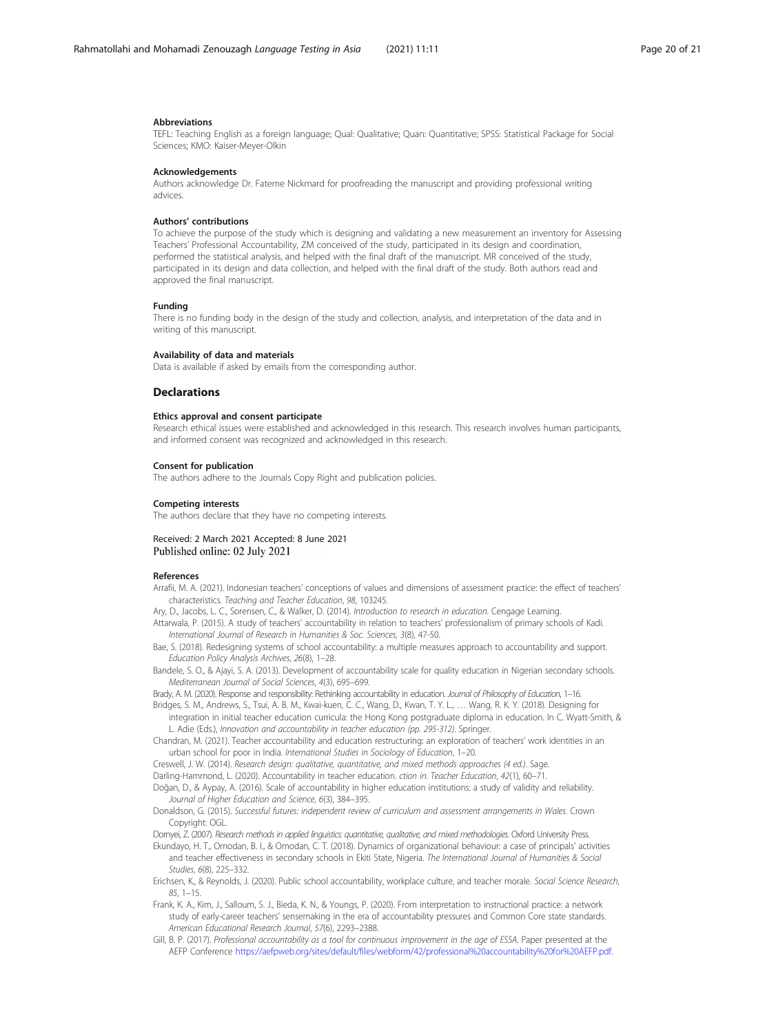#### <span id="page-19-0"></span>Abbreviations

TEFL: Teaching English as a foreign language; Qual: Qualitative; Quan: Quantitative; SPSS: Statistical Package for Social Sciences; KMO: Kaiser-Meyer-Olkin

### Acknowledgements

Authors acknowledge Dr. Fateme Nickmard for proofreading the manuscript and providing professional writing advices.

# Authors' contributions

To achieve the purpose of the study which is designing and validating a new measurement an inventory for Assessing Teachers' Professional Accountability, ZM conceived of the study, participated in its design and coordination, performed the statistical analysis, and helped with the final draft of the manuscript. MR conceived of the study, participated in its design and data collection, and helped with the final draft of the study. Both authors read and approved the final manuscript.

#### Funding

There is no funding body in the design of the study and collection, analysis, and interpretation of the data and in writing of this manuscript.

### Availability of data and materials

Data is available if asked by emails from the corresponding author.

# **Declarations**

# Ethics approval and consent participate

Research ethical issues were established and acknowledged in this research. This research involves human participants, and informed consent was recognized and acknowledged in this research.

### Consent for publication

The authors adhere to the Journals Copy Right and publication policies.

### Competing interests

The authors declare that they have no competing interests.

# Received: 2 March 2021 Accepted: 8 June 2021 Published online: 02 July 2021

# References

- Arrafii, M. A. (2021). Indonesian teachers' conceptions of values and dimensions of assessment practice: the effect of teachers' characteristics. Teaching and Teacher Education, 98, 103245.
- Ary, D., Jacobs, L. C., Sorensen, C., & Walker, D. (2014). Introduction to research in education. Cengage Learning.
- Attarwala, P. (2015). A study of teachers' accountability in relation to teachers' professionalism of primary schools of Kadi. International Journal of Research in Humanities & Soc. Sciences, 3(8), 47-50.
- Bae, S. (2018). Redesigning systems of school accountability: a multiple measures approach to accountability and support. Education Policy Analysis Archives, 26(8), 1–28.
- Bandele, S. O., & Ajayi, S. A. (2013). Development of accountability scale for quality education in Nigerian secondary schools. Mediterranean Journal of Social Sciences, 4(3), 695–699.
- Brady, A. M. (2020). Response and responsibility: Rethinking accountability in education. Journal of Philosophy of Education, 1–16.
- Bridges, S. M., Andrews, S., Tsui, A. B. M., Kwai-kuen, C. C., Wang, D., Kwan, T. Y. L., … Wang, R. K. Y. (2018). Designing for integration in initial teacher education curricula: the Hong Kong postgraduate diploma in education. In C. Wyatt-Smith, &
- L. Adie (Eds.), Innovation and accountability in teacher education (pp. 295-312). Springer Chandran, M. (2021). Teacher accountability and education restructuring: an exploration of teachers' work identities in an
- urban school for poor in India. International Studies in Sociology of Education, 1–20.
- Creswell, J. W. (2014). Research design: qualitative, quantitative, and mixed methods approaches (4 ed.). Sage.
- Darling-Hammond, L. (2020). Accountability in teacher education. ction in. Teacher Education, 42(1), 60–71.
- Doğan, D., & Aypay, A. (2016). Scale of accountability in higher education institutions: a study of validity and reliability. Journal of Higher Education and Science, 6(3), 384–395.
- Donaldson, G. (2015). Successful futures: independent review of curriculum and assessment arrangements in Wales. Crown Copyright: OGL.
- Dornyei, Z. (2007). Research methods in applied linguistics: quantitative, qualitative, and mixed methodologies. Oxford University Press.
- Ekundayo, H. T., Omodan, B. I., & Omodan, C. T. (2018). Dynamics of organizational behaviour: a case of principals' activities and teacher effectiveness in secondary schools in Ekiti State, Nigeria. The International Journal of Humanities & Social Studies, 6(8), 225–332.
- Erichsen, K., & Reynolds, J. (2020). Public school accountability, workplace culture, and teacher morale. Social Science Research, 85, 1–15.
- Frank, K. A., Kim, J., Salloum, S. J., Bieda, K. N., & Youngs, P. (2020). From interpretation to instructional practice: a network study of early-career teachers' sensemaking in the era of accountability pressures and Common Core state standards. American Educational Research Journal, 57(6), 2293–2388.
- Gill, B. P. (2017). Professional accountability as a tool for continuous improvement in the age of ESSA. Paper presented at the AEFP Conference <https://aefpweb.org/sites/default/files/webform/42/professional%20accountability%20for%20AEFP.pdf>.